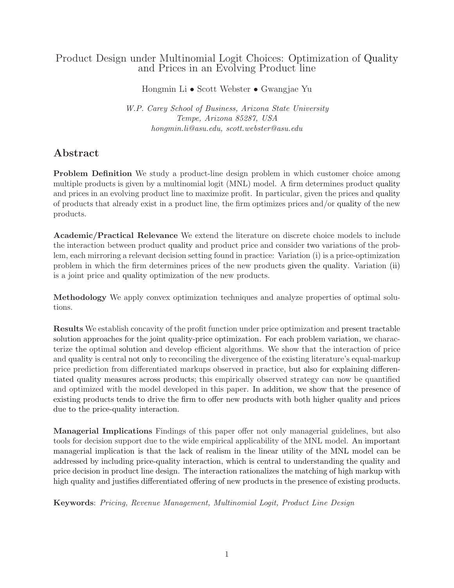# Product Design under Multinomial Logit Choices: Optimization of Quality and Prices in an Evolving Product line

Hongmin Li • Scott Webster • Gwangjae Yu

W.P. Carey School of Business, Arizona State University Tempe, Arizona 85287, USA hongmin.li@asu.edu, scott.webster@asu.edu

# Abstract

Problem Definition We study a product-line design problem in which customer choice among multiple products is given by a multinomial logit (MNL) model. A firm determines product quality and prices in an evolving product line to maximize profit. In particular, given the prices and quality of products that already exist in a product line, the firm optimizes prices and/or quality of the new products.

Academic/Practical Relevance We extend the literature on discrete choice models to include the interaction between product quality and product price and consider two variations of the problem, each mirroring a relevant decision setting found in practice: Variation (i) is a price-optimization problem in which the firm determines prices of the new products given the quality. Variation (ii) is a joint price and quality optimization of the new products.

Methodology We apply convex optimization techniques and analyze properties of optimal solutions.

Results We establish concavity of the profit function under price optimization and present tractable solution approaches for the joint quality-price optimization. For each problem variation, we characterize the optimal solution and develop efficient algorithms. We show that the interaction of price and quality is central not only to reconciling the divergence of the existing literature's equal-markup price prediction from differentiated markups observed in practice, but also for explaining differentiated quality measures across products; this empirically observed strategy can now be quantified and optimized with the model developed in this paper. In addition, we show that the presence of existing products tends to drive the firm to offer new products with both higher quality and prices due to the price-quality interaction.

Managerial Implications Findings of this paper offer not only managerial guidelines, but also tools for decision support due to the wide empirical applicability of the MNL model. An important managerial implication is that the lack of realism in the linear utility of the MNL model can be addressed by including price-quality interaction, which is central to understanding the quality and price decision in product line design. The interaction rationalizes the matching of high markup with high quality and justifies differentiated offering of new products in the presence of existing products.

Keywords: Pricing, Revenue Management, Multinomial Logit, Product Line Design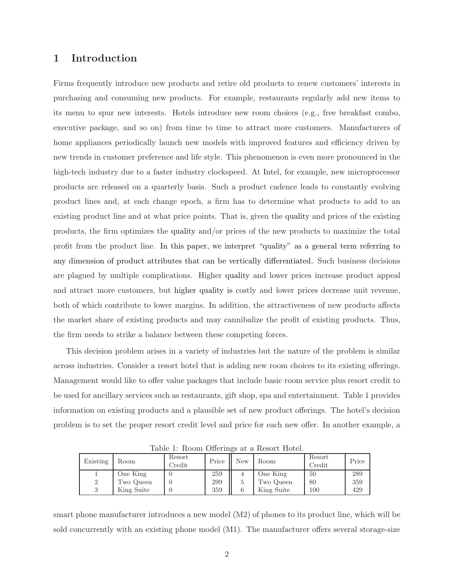# 1 Introduction

Firms frequently introduce new products and retire old products to renew customers' interests in purchasing and consuming new products. For example, restaurants regularly add new items to its menu to spur new interests. Hotels introduce new room choices (e.g., free breakfast combo, executive package, and so on) from time to time to attract more customers. Manufacturers of home appliances periodically launch new models with improved features and efficiency driven by new trends in customer preference and life style. This phenomenon is even more pronounced in the high-tech industry due to a faster industry clockspeed. At Intel, for example, new microprocessor products are released on a quarterly basis. Such a product cadence leads to constantly evolving product lines and, at each change epoch, a firm has to determine what products to add to an existing product line and at what price points. That is, given the quality and prices of the existing products, the firm optimizes the quality and/or prices of the new products to maximize the total profit from the product line. In this paper, we interpret "quality" as a general term referring to any dimension of product attributes that can be vertically differentiated. Such business decisions are plagued by multiple complications. Higher quality and lower prices increase product appeal and attract more customers, but higher quality is costly and lower prices decrease unit revenue, both of which contribute to lower margins. In addition, the attractiveness of new products affects the market share of existing products and may cannibalize the profit of existing products. Thus, the firm needs to strike a balance between these competing forces.

This decision problem arises in a variety of industries but the nature of the problem is similar across industries. Consider a resort hotel that is adding new room choices to its existing offerings. Management would like to offer value packages that include basic room service plus resort credit to be used for ancillary services such as restaurants, gift shop, spa and entertainment. Table 1 provides information on existing products and a plausible set of new product offerings. The hotel's decision problem is to set the proper resort credit level and price for each new offer. In another example, a

|          |            |                  |       |     | rapio 1: 100 0111 O 1101 11150 ao a 1000010 110001; |                  |       |
|----------|------------|------------------|-------|-----|-----------------------------------------------------|------------------|-------|
| Existing | Room       | Resort<br>Credit | Price | New | Room                                                | Resort<br>Credit | Price |
|          | One King   |                  | 259   |     | One King                                            | 50               | 289   |
| っ        | Two Queen  |                  | 299   | 5   | Two Queen                                           | 80               | 359   |
|          | King Suite |                  | 359   | 6   | King Suite                                          | 100              | 429   |

Table 1: Room Offerings at a Resort Hotel.

smart phone manufacturer introduces a new model (M2) of phones to its product line, which will be sold concurrently with an existing phone model (M1). The manufacturer offers several storage-size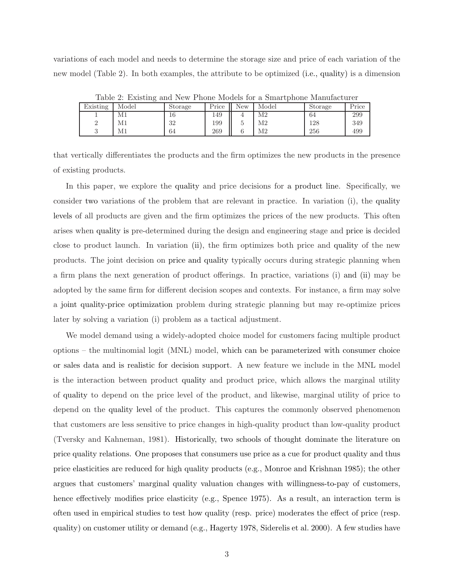variations of each model and needs to determine the storage size and price of each variation of the new model (Table 2). In both examples, the attribute to be optimized (i.e., quality) is a dimension

|          | Table 2. Existing and New I hold models for a smartphone manufacturer |         |       |     |       |         |       |
|----------|-----------------------------------------------------------------------|---------|-------|-----|-------|---------|-------|
| Existing | Model                                                                 | Storage | Price | New | Model | Storage | Price |
|          | Μ1                                                                    | 16      | 149   |     | M2    | 64      | 299   |
|          | M1                                                                    | 32      | 199   |     | M2    | 128     | 349   |
|          | M1                                                                    | 64      | 269   |     | M2    | 256     | 499   |

Table 2: Existing and New Phone Models for a Smartphone Manufacturer

that vertically differentiates the products and the firm optimizes the new products in the presence of existing products.

In this paper, we explore the quality and price decisions for a product line. Specifically, we consider two variations of the problem that are relevant in practice. In variation (i), the quality levels of all products are given and the firm optimizes the prices of the new products. This often arises when quality is pre-determined during the design and engineering stage and price is decided close to product launch. In variation (ii), the firm optimizes both price and quality of the new products. The joint decision on price and quality typically occurs during strategic planning when a firm plans the next generation of product offerings. In practice, variations (i) and (ii) may be adopted by the same firm for different decision scopes and contexts. For instance, a firm may solve a joint quality-price optimization problem during strategic planning but may re-optimize prices later by solving a variation (i) problem as a tactical adjustment.

We model demand using a widely-adopted choice model for customers facing multiple product options – the multinomial logit (MNL) model, which can be parameterized with consumer choice or sales data and is realistic for decision support. A new feature we include in the MNL model is the interaction between product quality and product price, which allows the marginal utility of quality to depend on the price level of the product, and likewise, marginal utility of price to depend on the quality level of the product. This captures the commonly observed phenomenon that customers are less sensitive to price changes in high-quality product than low-quality product (Tversky and Kahneman, 1981). Historically, two schools of thought dominate the literature on price quality relations. One proposes that consumers use price as a cue for product quality and thus price elasticities are reduced for high quality products (e.g., Monroe and Krishnan 1985); the other argues that customers' marginal quality valuation changes with willingness-to-pay of customers, hence effectively modifies price elasticity (e.g., Spence 1975). As a result, an interaction term is often used in empirical studies to test how quality (resp. price) moderates the effect of price (resp. quality) on customer utility or demand (e.g., Hagerty 1978, Siderelis et al. 2000). A few studies have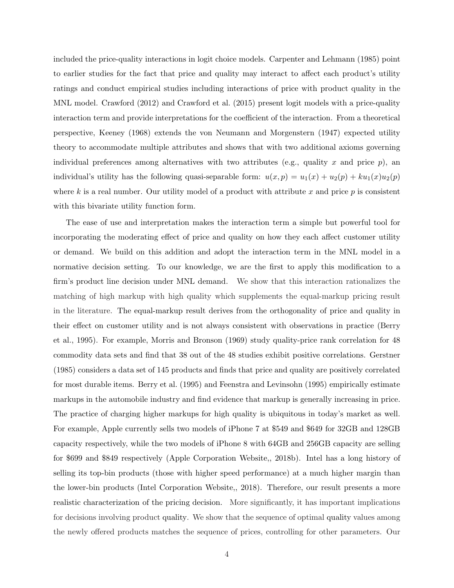included the price-quality interactions in logit choice models. Carpenter and Lehmann (1985) point to earlier studies for the fact that price and quality may interact to affect each product's utility ratings and conduct empirical studies including interactions of price with product quality in the MNL model. Crawford (2012) and Crawford et al. (2015) present logit models with a price-quality interaction term and provide interpretations for the coefficient of the interaction. From a theoretical perspective, Keeney (1968) extends the von Neumann and Morgenstern (1947) expected utility theory to accommodate multiple attributes and shows that with two additional axioms governing individual preferences among alternatives with two attributes (e.g., quality x and price  $p$ ), an individual's utility has the following quasi-separable form:  $u(x, p) = u_1(x) + u_2(p) + ku_1(x)u_2(p)$ where k is a real number. Our utility model of a product with attribute x and price  $p$  is consistent with this bivariate utility function form.

The ease of use and interpretation makes the interaction term a simple but powerful tool for incorporating the moderating effect of price and quality on how they each affect customer utility or demand. We build on this addition and adopt the interaction term in the MNL model in a normative decision setting. To our knowledge, we are the first to apply this modification to a firm's product line decision under MNL demand. We show that this interaction rationalizes the matching of high markup with high quality which supplements the equal-markup pricing result in the literature. The equal-markup result derives from the orthogonality of price and quality in their effect on customer utility and is not always consistent with observations in practice (Berry et al., 1995). For example, Morris and Bronson (1969) study quality-price rank correlation for 48 commodity data sets and find that 38 out of the 48 studies exhibit positive correlations. Gerstner (1985) considers a data set of 145 products and finds that price and quality are positively correlated for most durable items. Berry et al. (1995) and Feenstra and Levinsohn (1995) empirically estimate markups in the automobile industry and find evidence that markup is generally increasing in price. The practice of charging higher markups for high quality is ubiquitous in today's market as well. For example, Apple currently sells two models of iPhone 7 at \$549 and \$649 for 32GB and 128GB capacity respectively, while the two models of iPhone 8 with 64GB and 256GB capacity are selling for \$699 and \$849 respectively (Apple Corporation Website,, 2018b). Intel has a long history of selling its top-bin products (those with higher speed performance) at a much higher margin than the lower-bin products (Intel Corporation Website,, 2018). Therefore, our result presents a more realistic characterization of the pricing decision. More significantly, it has important implications for decisions involving product quality. We show that the sequence of optimal quality values among the newly offered products matches the sequence of prices, controlling for other parameters. Our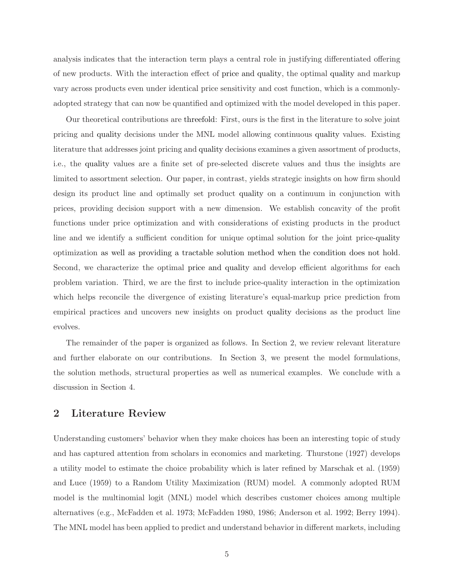analysis indicates that the interaction term plays a central role in justifying differentiated offering of new products. With the interaction effect of price and quality, the optimal quality and markup vary across products even under identical price sensitivity and cost function, which is a commonlyadopted strategy that can now be quantified and optimized with the model developed in this paper.

Our theoretical contributions are threefold: First, ours is the first in the literature to solve joint pricing and quality decisions under the MNL model allowing continuous quality values. Existing literature that addresses joint pricing and quality decisions examines a given assortment of products, i.e., the quality values are a finite set of pre-selected discrete values and thus the insights are limited to assortment selection. Our paper, in contrast, yields strategic insights on how firm should design its product line and optimally set product quality on a continuum in conjunction with prices, providing decision support with a new dimension. We establish concavity of the profit functions under price optimization and with considerations of existing products in the product line and we identify a sufficient condition for unique optimal solution for the joint price-quality optimization as well as providing a tractable solution method when the condition does not hold. Second, we characterize the optimal price and quality and develop efficient algorithms for each problem variation. Third, we are the first to include price-quality interaction in the optimization which helps reconcile the divergence of existing literature's equal-markup price prediction from empirical practices and uncovers new insights on product quality decisions as the product line evolves.

The remainder of the paper is organized as follows. In Section 2, we review relevant literature and further elaborate on our contributions. In Section 3, we present the model formulations, the solution methods, structural properties as well as numerical examples. We conclude with a discussion in Section 4.

# 2 Literature Review

Understanding customers' behavior when they make choices has been an interesting topic of study and has captured attention from scholars in economics and marketing. Thurstone (1927) develops a utility model to estimate the choice probability which is later refined by Marschak et al. (1959) and Luce (1959) to a Random Utility Maximization (RUM) model. A commonly adopted RUM model is the multinomial logit (MNL) model which describes customer choices among multiple alternatives (e.g., McFadden et al. 1973; McFadden 1980, 1986; Anderson et al. 1992; Berry 1994). The MNL model has been applied to predict and understand behavior in different markets, including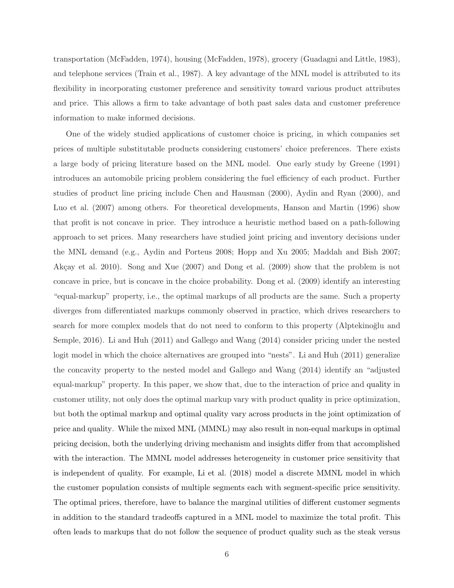transportation (McFadden, 1974), housing (McFadden, 1978), grocery (Guadagni and Little, 1983), and telephone services (Train et al., 1987). A key advantage of the MNL model is attributed to its flexibility in incorporating customer preference and sensitivity toward various product attributes and price. This allows a firm to take advantage of both past sales data and customer preference information to make informed decisions.

One of the widely studied applications of customer choice is pricing, in which companies set prices of multiple substitutable products considering customers' choice preferences. There exists a large body of pricing literature based on the MNL model. One early study by Greene (1991) introduces an automobile pricing problem considering the fuel efficiency of each product. Further studies of product line pricing include Chen and Hausman (2000), Aydin and Ryan (2000), and Luo et al. (2007) among others. For theoretical developments, Hanson and Martin (1996) show that profit is not concave in price. They introduce a heuristic method based on a path-following approach to set prices. Many researchers have studied joint pricing and inventory decisions under the MNL demand (e.g., Aydin and Porteus 2008; Hopp and Xu 2005; Maddah and Bish 2007; Akçay et al. 2010). Song and Xue (2007) and Dong et al. (2009) show that the problem is not concave in price, but is concave in the choice probability. Dong et al. (2009) identify an interesting "equal-markup" property, i.e., the optimal markups of all products are the same. Such a property diverges from differentiated markups commonly observed in practice, which drives researchers to search for more complex models that do not need to conform to this property (Alptekinoğlu and Semple, 2016). Li and Huh (2011) and Gallego and Wang (2014) consider pricing under the nested logit model in which the choice alternatives are grouped into "nests". Li and Huh (2011) generalize the concavity property to the nested model and Gallego and Wang (2014) identify an "adjusted equal-markup" property. In this paper, we show that, due to the interaction of price and quality in customer utility, not only does the optimal markup vary with product quality in price optimization, but both the optimal markup and optimal quality vary across products in the joint optimization of price and quality. While the mixed MNL (MMNL) may also result in non-equal markups in optimal pricing decision, both the underlying driving mechanism and insights differ from that accomplished with the interaction. The MMNL model addresses heterogeneity in customer price sensitivity that is independent of quality. For example, Li et al. (2018) model a discrete MMNL model in which the customer population consists of multiple segments each with segment-specific price sensitivity. The optimal prices, therefore, have to balance the marginal utilities of different customer segments in addition to the standard tradeoffs captured in a MNL model to maximize the total profit. This often leads to markups that do not follow the sequence of product quality such as the steak versus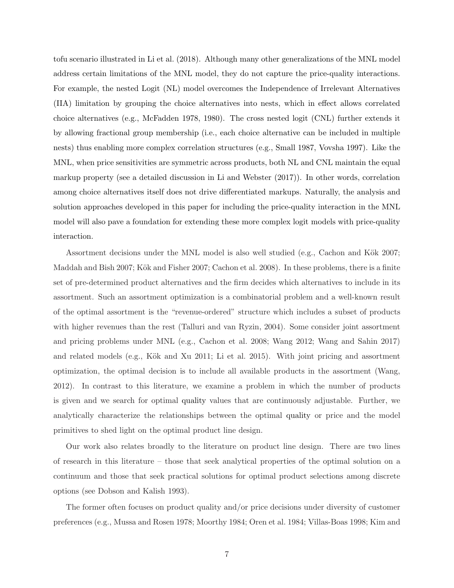tofu scenario illustrated in Li et al. (2018). Although many other generalizations of the MNL model address certain limitations of the MNL model, they do not capture the price-quality interactions. For example, the nested Logit (NL) model overcomes the Independence of Irrelevant Alternatives (IIA) limitation by grouping the choice alternatives into nests, which in effect allows correlated choice alternatives (e.g., McFadden 1978, 1980). The cross nested logit (CNL) further extends it by allowing fractional group membership (i.e., each choice alternative can be included in multiple nests) thus enabling more complex correlation structures (e.g., Small 1987, Vovsha 1997). Like the MNL, when price sensitivities are symmetric across products, both NL and CNL maintain the equal markup property (see a detailed discussion in Li and Webster (2017)). In other words, correlation among choice alternatives itself does not drive differentiated markups. Naturally, the analysis and solution approaches developed in this paper for including the price-quality interaction in the MNL model will also pave a foundation for extending these more complex logit models with price-quality interaction.

Assortment decisions under the MNL model is also well studied (e.g., Cachon and Kök 2007; Maddah and Bish 2007; Kök and Fisher 2007; Cachon et al. 2008). In these problems, there is a finite set of pre-determined product alternatives and the firm decides which alternatives to include in its assortment. Such an assortment optimization is a combinatorial problem and a well-known result of the optimal assortment is the "revenue-ordered" structure which includes a subset of products with higher revenues than the rest (Talluri and van Ryzin, 2004). Some consider joint assortment and pricing problems under MNL (e.g., Cachon et al. 2008; Wang 2012; Wang and Sahin 2017) and related models (e.g., Kök and Xu 2011; Li et al. 2015). With joint pricing and assortment optimization, the optimal decision is to include all available products in the assortment (Wang, 2012). In contrast to this literature, we examine a problem in which the number of products is given and we search for optimal quality values that are continuously adjustable. Further, we analytically characterize the relationships between the optimal quality or price and the model primitives to shed light on the optimal product line design.

Our work also relates broadly to the literature on product line design. There are two lines of research in this literature – those that seek analytical properties of the optimal solution on a continuum and those that seek practical solutions for optimal product selections among discrete options (see Dobson and Kalish 1993).

The former often focuses on product quality and/or price decisions under diversity of customer preferences (e.g., Mussa and Rosen 1978; Moorthy 1984; Oren et al. 1984; Villas-Boas 1998; Kim and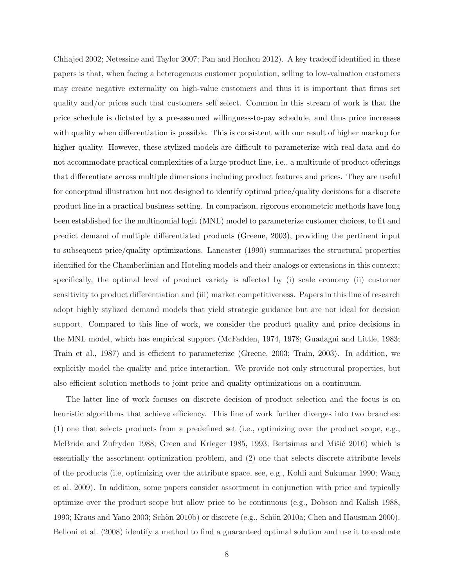Chhajed 2002; Netessine and Taylor 2007; Pan and Honhon 2012). A key tradeoff identified in these papers is that, when facing a heterogenous customer population, selling to low-valuation customers may create negative externality on high-value customers and thus it is important that firms set quality and/or prices such that customers self select. Common in this stream of work is that the price schedule is dictated by a pre-assumed willingness-to-pay schedule, and thus price increases with quality when differentiation is possible. This is consistent with our result of higher markup for higher quality. However, these stylized models are difficult to parameterize with real data and do not accommodate practical complexities of a large product line, i.e., a multitude of product offerings that differentiate across multiple dimensions including product features and prices. They are useful for conceptual illustration but not designed to identify optimal price/quality decisions for a discrete product line in a practical business setting. In comparison, rigorous econometric methods have long been established for the multinomial logit (MNL) model to parameterize customer choices, to fit and predict demand of multiple differentiated products (Greene, 2003), providing the pertinent input to subsequent price/quality optimizations. Lancaster (1990) summarizes the structural properties identified for the Chamberlinian and Hoteling models and their analogs or extensions in this context; specifically, the optimal level of product variety is affected by (i) scale economy (ii) customer sensitivity to product differentiation and (iii) market competitiveness. Papers in this line of research adopt highly stylized demand models that yield strategic guidance but are not ideal for decision support. Compared to this line of work, we consider the product quality and price decisions in the MNL model, which has empirical support (McFadden, 1974, 1978; Guadagni and Little, 1983; Train et al., 1987) and is efficient to parameterize (Greene, 2003; Train, 2003). In addition, we explicitly model the quality and price interaction. We provide not only structural properties, but also efficient solution methods to joint price and quality optimizations on a continuum.

The latter line of work focuses on discrete decision of product selection and the focus is on heuristic algorithms that achieve efficiency. This line of work further diverges into two branches: (1) one that selects products from a predefined set (i.e., optimizing over the product scope, e.g., McBride and Zufryden 1988; Green and Krieger 1985, 1993; Bertsimas and Mišić 2016) which is essentially the assortment optimization problem, and (2) one that selects discrete attribute levels of the products (i.e, optimizing over the attribute space, see, e.g., Kohli and Sukumar 1990; Wang et al. 2009). In addition, some papers consider assortment in conjunction with price and typically optimize over the product scope but allow price to be continuous (e.g., Dobson and Kalish 1988, 1993; Kraus and Yano 2003; Schön 2010b) or discrete (e.g., Schön 2010a; Chen and Hausman 2000). Belloni et al. (2008) identify a method to find a guaranteed optimal solution and use it to evaluate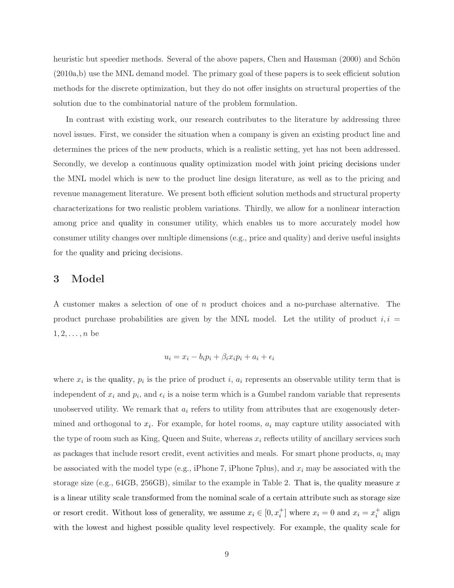heuristic but speedier methods. Several of the above papers, Chen and Hausman (2000) and Schön (2010a,b) use the MNL demand model. The primary goal of these papers is to seek efficient solution methods for the discrete optimization, but they do not offer insights on structural properties of the solution due to the combinatorial nature of the problem formulation.

In contrast with existing work, our research contributes to the literature by addressing three novel issues. First, we consider the situation when a company is given an existing product line and determines the prices of the new products, which is a realistic setting, yet has not been addressed. Secondly, we develop a continuous quality optimization model with joint pricing decisions under the MNL model which is new to the product line design literature, as well as to the pricing and revenue management literature. We present both efficient solution methods and structural property characterizations for two realistic problem variations. Thirdly, we allow for a nonlinear interaction among price and quality in consumer utility, which enables us to more accurately model how consumer utility changes over multiple dimensions (e.g., price and quality) and derive useful insights for the quality and pricing decisions.

## 3 Model

A customer makes a selection of one of n product choices and a no-purchase alternative. The product purchase probabilities are given by the MNL model. Let the utility of product  $i, i =$  $1, 2, \ldots, n$  be

$$
u_i = x_i - b_i p_i + \beta_i x_i p_i + a_i + \epsilon_i
$$

where  $x_i$  is the quality,  $p_i$  is the price of product i,  $a_i$  represents an observable utility term that is independent of  $x_i$  and  $p_i$ , and  $\epsilon_i$  is a noise term which is a Gumbel random variable that represents unobserved utility. We remark that  $a_i$  refers to utility from attributes that are exogenously determined and orthogonal to  $x_i$ . For example, for hotel rooms,  $a_i$  may capture utility associated with the type of room such as King, Queen and Suite, whereas  $x_i$  reflects utility of ancillary services such as packages that include resort credit, event activities and meals. For smart phone products,  $a_i$  may be associated with the model type (e.g., iPhone 7, iPhone 7plus), and  $x_i$  may be associated with the storage size (e.g.,  $64GB$ ,  $256GB$ ), similar to the example in Table 2. That is, the quality measure x is a linear utility scale transformed from the nominal scale of a certain attribute such as storage size or resort credit. Without loss of generality, we assume  $x_i \in [0, x_i^+]$  where  $x_i = 0$  and  $x_i = x_i^+$  align with the lowest and highest possible quality level respectively. For example, the quality scale for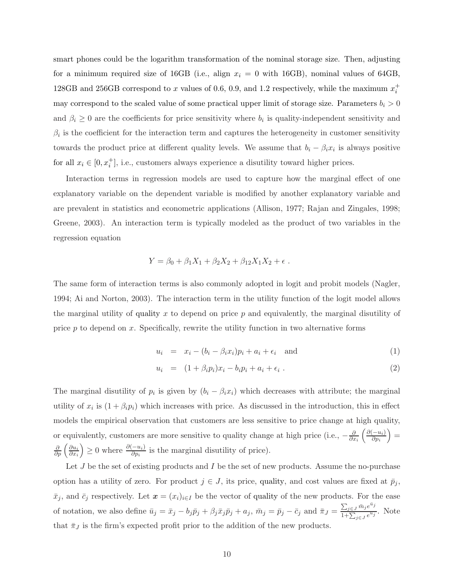smart phones could be the logarithm transformation of the nominal storage size. Then, adjusting for a minimum required size of 16GB (i.e., align  $x_i = 0$  with 16GB), nominal values of 64GB, 128GB and 256GB correspond to x values of 0.6, 0.9, and 1.2 respectively, while the maximum  $x_i^+$ may correspond to the scaled value of some practical upper limit of storage size. Parameters  $b_i > 0$ and  $\beta_i \geq 0$  are the coefficients for price sensitivity where  $b_i$  is quality-independent sensitivity and  $\beta_i$  is the coefficient for the interaction term and captures the heterogeneity in customer sensitivity towards the product price at different quality levels. We assume that  $b_i - \beta_i x_i$  is always positive for all  $x_i \in [0, x_i^+]$ , i.e., customers always experience a disutility toward higher prices.

Interaction terms in regression models are used to capture how the marginal effect of one explanatory variable on the dependent variable is modified by another explanatory variable and are prevalent in statistics and econometric applications (Allison, 1977; Rajan and Zingales, 1998; Greene, 2003). An interaction term is typically modeled as the product of two variables in the regression equation

$$
Y = \beta_0 + \beta_1 X_1 + \beta_2 X_2 + \beta_{12} X_1 X_2 + \epsilon.
$$

The same form of interaction terms is also commonly adopted in logit and probit models (Nagler, 1994; Ai and Norton, 2003). The interaction term in the utility function of the logit model allows the marginal utility of quality x to depend on price  $p$  and equivalently, the marginal disutility of price  $p$  to depend on  $x$ . Specifically, rewrite the utility function in two alternative forms

$$
u_i = x_i - (b_i - \beta_i x_i)p_i + a_i + \epsilon_i \quad \text{and} \tag{1}
$$

$$
u_i = (1 + \beta_i p_i)x_i - b_i p_i + a_i + \epsilon_i . \qquad (2)
$$

The marginal disutility of  $p_i$  is given by  $(b_i - \beta_i x_i)$  which decreases with attribute; the marginal utility of  $x_i$  is  $(1 + \beta_i p_i)$  which increases with price. As discussed in the introduction, this in effect models the empirical observation that customers are less sensitive to price change at high quality, or equivalently, customers are more sensitive to quality change at high price (i.e.,  $-\frac{\partial}{\partial x}$  $\frac{\partial}{\partial x_i} \left( \frac{\partial (-u_i)}{\partial p_i} \right)$  $\left(\frac{-u_i)}{\partial p_i}\right) =$  $\frac{\partial}{\partial p}\left(\frac{\partial u_i}{\partial x_i}\right)$  $\frac{\partial u_i}{\partial x_i}$  ≥ 0 where  $\frac{\partial (-u_i)}{\partial p_i}$  is the marginal disutility of price).

Let  $J$  be the set of existing products and  $I$  be the set of new products. Assume the no-purchase option has a utility of zero. For product  $j \in J$ , its price, quality, and cost values are fixed at  $\bar{p}_j$ ,  $\bar{x}_j$ , and  $\bar{c}_j$  respectively. Let  $\mathbf{x} = (x_i)_{i \in I}$  be the vector of quality of the new products. For the ease of notation, we also define  $\bar{u}_j = \bar{x}_j - b_j \bar{p}_j + \beta_j \bar{x}_j \bar{p}_j + a_j$ ,  $\bar{m}_j = \bar{p}_j - \bar{c}_j$  and  $\bar{\pi}_J = \frac{\sum_{j \in J} \bar{m}_j e^{\bar{u}_j}}{1 + \sum_{j \in J} a_{j,j}^{\bar{u}_j}}$  $\frac{\sum_{j\in J}m_jc}{1+\sum_{j\in J}e^{\overline{u}_j}}$ . Note that  $\bar{\pi}_J$  is the firm's expected profit prior to the addition of the new products.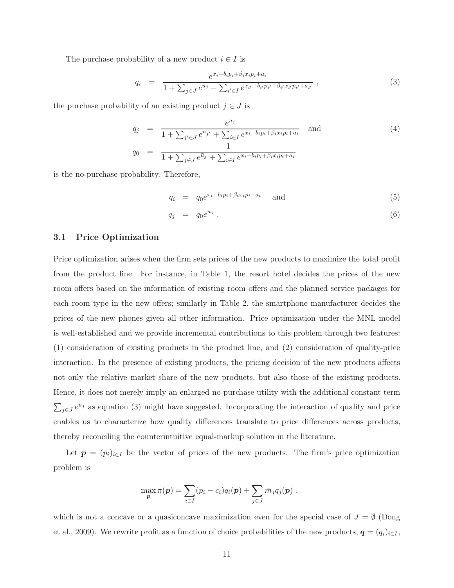The purchase probability of a new product  $i \in I$  is

$$
q_i = \frac{e^{x_i - b_i p_i + \beta_i x_i p_i + a_i}}{1 + \sum_{j \in J} e^{\bar{u}_j} + \sum_{i' \in I} e^{x_{i'} - b_{i'} p_{i'} + \beta_{i'} x_{i'} p_{i'} + a_{i'}}},
$$
\n(3)

the purchase probability of an existing product  $j \in J$  is

$$
q_j = \frac{e^{\bar{u}_j}}{1 + \sum_{j' \in J} e^{\bar{u}_{j'}} + \sum_{i \in I} e^{x_i - b_i p_i + \beta_i x_i p_i + a_i}} \text{ and } (4)
$$
  
\n
$$
q_0 = \frac{1}{1 + \sum_{j \in J} e^{\bar{u}_j} + \sum_{i \in I} e^{x_i - b_i p_i + \beta_i x_i p_i + a_i}}
$$

is the no-purchase probability. Therefore,

$$
q_i = q_0 e^{x_i - b_i p_i + \beta_i x_i p_i + a_i} \quad \text{and} \tag{5}
$$

$$
q_j = q_0 e^{\bar{u}_j} \tag{6}
$$

#### 3.1 Price Optimization

Price optimization arises when the firm sets prices of the new products to maximize the total profit from the product line. For instance, in Table 1, the resort hotel decides the prices of the new room offers based on the information of existing room offers and the planned service packages for each room type in the new offers; similarly in Table 2, the smartphone manufacturer decides the prices of the new phones given all other information. Price optimization under the MNL model is well-established and we provide incremental contributions to this problem through two features: (1) consideration of existing products in the product line, and (2) consideration of quality-price interaction. In the presence of existing products, the pricing decision of the new products affects not only the relative market share of the new products, but also those of the existing products. Hence, it does not merely imply an enlarged no-purchase utility with the additional constant term  $\sum_{j\in J}e^{\bar{u}_j}$  as equation (3) might have suggested. Incorporating the interaction of quality and price enables us to characterize how quality differences translate to price differences across products, thereby reconciling the counterintuitive equal-markup solution in the literature.

Let  $p = (p_i)_{i \in I}$  be the vector of prices of the new products. The firm's price optimization problem is

$$
\max_{\boldsymbol{p}} \pi(\boldsymbol{p}) = \sum_{i \in I} (p_i - c_i) q_i(\boldsymbol{p}) + \sum_{j \in J} \bar{m}_j q_j(\boldsymbol{p}) ,
$$

which is not a concave or a quasiconcave maximization even for the special case of  $J = \emptyset$  (Dong et al., 2009). We rewrite profit as a function of choice probabilities of the new products,  $q = (q_i)_{i \in I}$ ,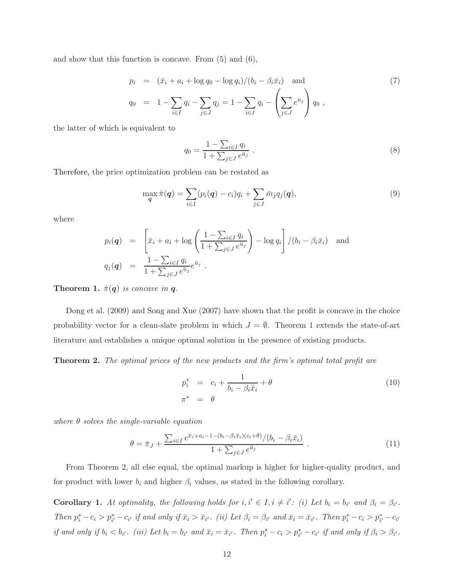and show that this function is concave. From (5) and (6),

$$
p_i = (\bar{x}_i + a_i + \log q_0 - \log q_i)/(b_i - \beta_i \bar{x}_i) \text{ and}
$$
  
\n
$$
q_0 = 1 - \sum_{i \in I} q_i - \sum_{j \in J} q_j = 1 - \sum_{i \in I} q_i - \left(\sum_{j \in J} e^{\bar{u}_j}\right) q_0,
$$
\n(7)

the latter of which is equivalent to

$$
q_0 = \frac{1 - \sum_{i \in I} q_i}{1 + \sum_{j \in J} e^{\bar{u}_j}} \tag{8}
$$

Therefore, the price optimization problem can be restated as

$$
\max_{\boldsymbol{q}} \hat{\pi}(\boldsymbol{q}) = \sum_{i \in I} (p_i(\boldsymbol{q}) - c_i) q_i + \sum_{j \in J} \bar{m}_j q_j(\boldsymbol{q}), \tag{9}
$$

where

$$
p_i(\mathbf{q}) = \left[ \bar{x}_i + a_i + \log \left( \frac{1 - \sum_{i \in I} q_i}{1 + \sum_{j \in J} e^{\bar{u}_j}} \right) - \log q_i \right] / (b_i - \beta_i \bar{x}_i) \text{ and}
$$
  

$$
q_j(\mathbf{q}) = \frac{1 - \sum_{i \in I} q_i}{1 + \sum_{j \in J} e^{\bar{u}_j}} e^{\bar{u}_j}.
$$

**Theorem 1.**  $\hat{\pi}(q)$  is concave in q.

Dong et al. (2009) and Song and Xue (2007) have shown that the profit is concave in the choice probability vector for a clean-slate problem in which  $J = \emptyset$ . Theorem 1 extends the state-of-art literature and establishes a unique optimal solution in the presence of existing products.

Theorem 2. The optimal prices of the new products and the firm's optimal total profit are

$$
p_i^* = c_i + \frac{1}{b_i - \beta_i \bar{x}_i} + \theta
$$

$$
\pi^* = \theta
$$
 (10)

where  $\theta$  solves the single-variable equation

$$
\theta = \bar{\pi}_J + \frac{\sum_{i \in I} e^{\bar{x}_i + a_i - 1 - (b_i - \beta_i \bar{x}_i)(c_i + \theta)} / (b_i - \beta_i \bar{x}_i)}{1 + \sum_{j \in J} e^{\bar{u}_j}} \,. \tag{11}
$$

From Theorem 2, all else equal, the optimal markup is higher for higher-quality product, and for product with lower  $b_i$  and higher  $\beta_i$  values, as stated in the following corollary.

**Corollary 1.** At optimality, the following holds for  $i, i' \in I, i \neq i'$ : (i) Let  $b_i = b_{i'}$  and  $\beta_i = \beta_{i'}$ . Then  $p_i^* - c_i > p_{i'}^* - c_{i'}$  if and only if  $\bar{x}_i > \bar{x}_{i'}$ . (ii) Let  $\beta_i = \beta_{i'}$  and  $\bar{x}_i = \bar{x}_{i'}$ . Then  $p_i^* - c_i > p_{i'}^* - c_{i'}$ if and only if  $b_i < b_{i'}$ . (iii) Let  $b_i = b_{i'}$  and  $\bar{x}_i = \bar{x}_{i'}$ . Then  $p_i^* - c_i > p_{i'}^* - c_{i'}$  if and only if  $\beta_i > \beta_{i'}$ .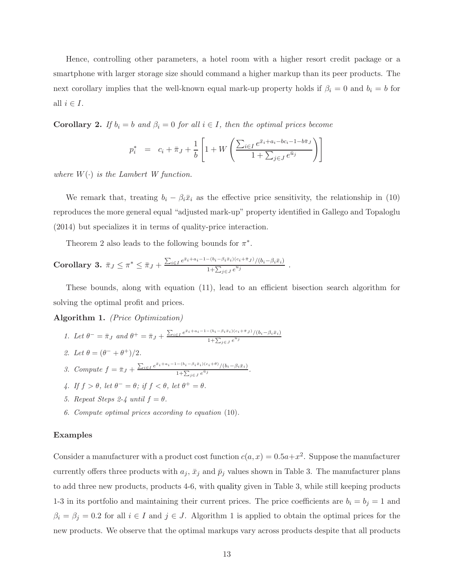Hence, controlling other parameters, a hotel room with a higher resort credit package or a smartphone with larger storage size should command a higher markup than its peer products. The next corollary implies that the well-known equal mark-up property holds if  $\beta_i = 0$  and  $b_i = b$  for all  $i \in I$ .

**Corollary 2.** If  $b_i = b$  and  $\beta_i = 0$  for all  $i \in I$ , then the optimal prices become

$$
p_i^* = c_i + \bar{\pi}_J + \frac{1}{b} \left[ 1 + W \left( \frac{\sum_{i \in I} e^{\bar{x}_i + a_i - bc_i - 1 - b\bar{\pi}_J}}{1 + \sum_{j \in J} e^{\bar{u}_j}} \right) \right]
$$

where  $W(\cdot)$  is the Lambert W function.

We remark that, treating  $b_i - \beta_i \bar{x}_i$  as the effective price sensitivity, the relationship in (10) reproduces the more general equal "adjusted mark-up" property identified in Gallego and Topaloglu (2014) but specializes it in terms of quality-price interaction.

Theorem 2 also leads to the following bounds for  $\pi^*$ .

Corollary 3. 
$$
\bar{\pi}_J \leq \pi^* \leq \bar{\pi}_J + \frac{\sum_{i \in I} e^{\bar{x}_i + a_i - 1 - (b_i - \beta_i \bar{x}_i)(c_i + \bar{\pi}_J)} / (b_i - \beta_i \bar{x}_i)}{1 + \sum_{j \in J} e^{\bar{u}_j}}
$$
.

These bounds, along with equation (11), lead to an efficient bisection search algorithm for solving the optimal profit and prices.

Algorithm 1. (Price Optimization)

- 1. Let  $\theta^- = \bar{\pi}_J$  and  $\theta^+ = \bar{\pi}_J + \frac{\sum_{i \in I} e^{\bar{x}_i + a_i 1 (b_i \beta_i \bar{x}_i)(c_i + \bar{\pi}_J)} / (b_i \beta_i \bar{x}_i)}{1 + \sum_{i \in I} e^{\bar{u}_i}}$  $1+\sum_{j\in J}e^{\bar{u}_j}$
- 2. Let  $\theta = (\theta^- + \theta^+)/2$ .
- 3. Compute  $f = \bar{\pi}_J + \frac{\sum_{i \in I} e^{\bar{x}_i + a_i 1 (b_i \beta_i \bar{x}_i)(c_i + \theta)} / (b_i \beta_i \bar{x}_i)}{1 + \sum_{i \in I} e^{\bar{a}_i}}$  $\frac{1+\sum_{j\in J}e^{\bar{u}_j}}{1+\sum_{j\in J}e^{\bar{u}_j}}$ .
- 4. If  $f > \theta$ , let  $\theta^- = \theta$ ; if  $f < \theta$ , let  $\theta^+ = \theta$ .
- 5. Repeat Steps 2-4 until  $f = \theta$ .
- 6. Compute optimal prices according to equation (10).

#### Examples

Consider a manufacturer with a product cost function  $c(a, x) = 0.5a + x^2$ . Suppose the manufacturer currently offers three products with  $a_j$ ,  $\bar{x}_j$  and  $\bar{p}_j$  values shown in Table 3. The manufacturer plans to add three new products, products 4-6, with quality given in Table 3, while still keeping products 1-3 in its portfolio and maintaining their current prices. The price coefficients are  $b_i = b_j = 1$  and  $\beta_i = \beta_j = 0.2$  for all  $i \in I$  and  $j \in J$ . Algorithm 1 is applied to obtain the optimal prices for the new products. We observe that the optimal markups vary across products despite that all products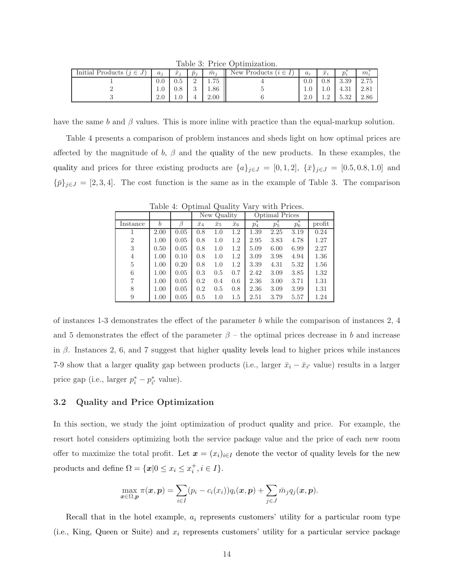Table 3: Price Optimization.

| Initial Products (<br>$(j \in$<br>$J^+$ | $a_i$      | $\bar{x}_i$ | $\bar{p}_j$    | $\bar{m}_i$ | New Products $(i \in I)$<br>Ш. | $a_i$ | $\bar{x}_i$ | $\boldsymbol{n}$ . | $m_i$         |
|-----------------------------------------|------------|-------------|----------------|-------------|--------------------------------|-------|-------------|--------------------|---------------|
|                                         | 0.0        | $_{0.5}$    | $\Omega$<br>∸  | 1.75        |                                | 0.0   | $0.8\,$     | 3.39               | 275<br>2.10   |
|                                         | T.A        | U.O         | $\Omega$<br>J. | 1.86        |                                | 1.U   | 1.0         | 4.31               | $\angle 0.01$ |
|                                         | $\angle$ . | 1.U         | 4              | 2.00        |                                | 4.U   | <b>1.</b> 2 | 5.39<br>0.04       | 2.86          |

have the same b and  $\beta$  values. This is more inline with practice than the equal-markup solution.

Table 4 presents a comparison of problem instances and sheds light on how optimal prices are affected by the magnitude of b,  $\beta$  and the quality of the new products. In these examples, the quality and prices for three existing products are  $\{a\}_{j\in J} = [0,1,2], \{\bar{x}\}_{j\in J} = [0.5,0.8,1.0]$  and  ${\bar{p}}_{j\in J} = [2, 3, 4]$ . The cost function is the same as in the example of Table 3. The comparison

Table 4: Optimal Quality Vary with Prices.

|                |                  |      |             | New Quality |             |       | Optimal Prices |       |        |
|----------------|------------------|------|-------------|-------------|-------------|-------|----------------|-------|--------|
| Instance       | $\boldsymbol{b}$ |      | $\bar{x}_4$ | $\bar{x}_5$ | $\bar{x}_6$ | $p_4$ | $p_{5}$        | $p_6$ | profit |
|                | 2.00             | 0.05 | 0.8         | 1.0         | $1.2\,$     | 1.39  | 2.25           | 3.19  | 0.24   |
| $\overline{2}$ | 1.00             | 0.05 | 0.8         | 1.0         | 1.2         | 2.95  | 3.83           | 4.78  | 1.27   |
| 3              | 0.50             | 0.05 | 0.8         | 1.0         | $1.2\,$     | 5.09  | 6.00           | 6.99  | 2.27   |
| 4              | 1.00             | 0.10 | 0.8         | 1.0         | 1.2         | 3.09  | 3.98           | 4.94  | 1.36   |
| 5              | 1.00             | 0.20 | 0.8         | 1.0         | $1.2\,$     | 3.39  | 4.31           | 5.32  | 1.56   |
| 6              | 1.00             | 0.05 | 0.3         | 0.5         | 0.7         | 2.42  | 3.09           | 3.85  | 1.32   |
| 7              | 1.00             | 0.05 | 0.2         | 0.4         | 0.6         | 2.36  | 3.00           | 3.71  | 1.31   |
| 8              | 1.00             | 0.05 | 0.2         | 0.5         | 0.8         | 2.36  | 3.09           | 3.99  | 1.31   |
| 9              | 1.00             | 0.05 | 0.5         | 1.0         | 1.5         | 2.51  | 3.79           | 5.57  | 1.24   |

of instances 1-3 demonstrates the effect of the parameter b while the comparison of instances 2, 4 and 5 demonstrates the effect of the parameter  $\beta$  – the optimal prices decrease in b and increase in  $\beta$ . Instances 2, 6, and 7 suggest that higher quality levels lead to higher prices while instances 7-9 show that a larger quality gap between products (i.e., larger  $\bar{x}_i - \bar{x}_{i'}$  value) results in a larger price gap (i.e., larger  $p_i^* - p_{i'}^*$  value).

## 3.2 Quality and Price Optimization

In this section, we study the joint optimization of product quality and price. For example, the resort hotel considers optimizing both the service package value and the price of each new room offer to maximize the total profit. Let  $\mathbf{x} = (x_i)_{i \in I}$  denote the vector of quality levels for the new products and define  $\Omega = \{ \boldsymbol{x} | 0 \leq x_i \leq x_i^+, i \in I \}.$ 

$$
\max_{\boldsymbol{x}\in\Omega,\boldsymbol{p}} \pi(\boldsymbol{x},\boldsymbol{p}) = \sum_{i\in I} (p_i - c_i(x_i))q_i(\boldsymbol{x},\boldsymbol{p}) + \sum_{j\in J} \bar{m}_j q_j(\boldsymbol{x},\boldsymbol{p}).
$$

Recall that in the hotel example,  $a_i$  represents customers' utility for a particular room type (i.e., King, Queen or Suite) and  $x_i$  represents customers' utility for a particular service package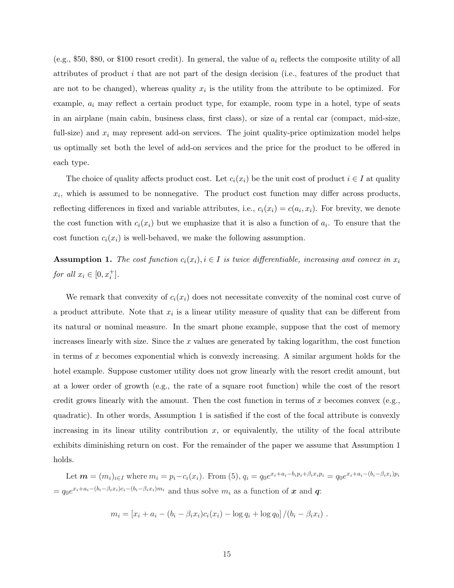(e.g., \$50, \$80, or \$100 resort credit). In general, the value of  $a_i$  reflects the composite utility of all attributes of product i that are not part of the design decision (i.e., features of the product that are not to be changed), whereas quality  $x_i$  is the utility from the attribute to be optimized. For example,  $a_i$  may reflect a certain product type, for example, room type in a hotel, type of seats in an airplane (main cabin, business class, first class), or size of a rental car (compact, mid-size, full-size) and  $x_i$  may represent add-on services. The joint quality-price optimization model helps us optimally set both the level of add-on services and the price for the product to be offered in each type.

The choice of quality affects product cost. Let  $c_i(x_i)$  be the unit cost of product  $i \in I$  at quality  $x_i$ , which is assumed to be nonnegative. The product cost function may differ across products, reflecting differences in fixed and variable attributes, i.e.,  $c_i(x_i) = c(a_i, x_i)$ . For brevity, we denote the cost function with  $c_i(x_i)$  but we emphasize that it is also a function of  $a_i$ . To ensure that the cost function  $c_i(x_i)$  is well-behaved, we make the following assumption.

**Assumption 1.** The cost function  $c_i(x_i)$ ,  $i \in I$  is twice differentiable, increasing and convex in  $x_i$ for all  $x_i \in [0, x_i^+]$ .

We remark that convexity of  $c_i(x_i)$  does not necessitate convexity of the nominal cost curve of a product attribute. Note that  $x_i$  is a linear utility measure of quality that can be different from its natural or nominal measure. In the smart phone example, suppose that the cost of memory increases linearly with size. Since the  $x$  values are generated by taking logarithm, the cost function in terms of x becomes exponential which is convexly increasing. A similar argument holds for the hotel example. Suppose customer utility does not grow linearly with the resort credit amount, but at a lower order of growth (e.g., the rate of a square root function) while the cost of the resort credit grows linearly with the amount. Then the cost function in terms of x becomes convex (e.g., quadratic). In other words, Assumption 1 is satisfied if the cost of the focal attribute is convexly increasing in its linear utility contribution  $x$ , or equivalently, the utility of the focal attribute exhibits diminishing return on cost. For the remainder of the paper we assume that Assumption 1 holds.

Let  $\mathbf{m} = (m_i)_{i \in I}$  where  $m_i = p_i - c_i(x_i)$ . From (5),  $q_i = q_0 e^{x_i + a_i - b_i p_i + \beta_i x_i p_i} = q_0 e^{x_i + a_i - (b_i - \beta_i x_i)p_i}$  $=q_0e^{x_i+a_i-(b_i-\beta_ix_i)c_i-(b_i-\beta_ix_i)m_i}$  and thus solve  $m_i$  as a function of x and q:

$$
m_i = [x_i + a_i - (b_i - \beta_i x_i)c_i(x_i) - \log q_i + \log q_0]/(b_i - \beta_i x_i).
$$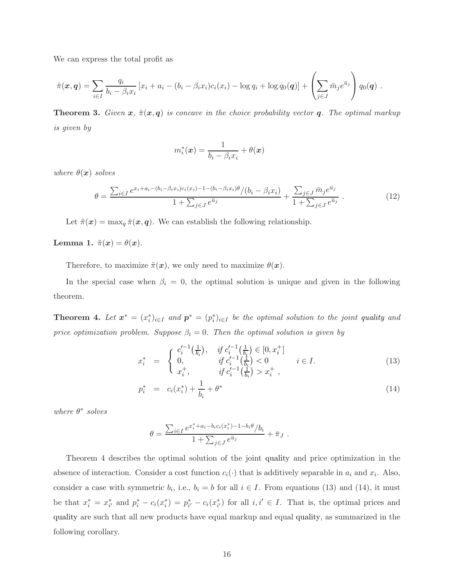We can express the total profit as

$$
\hat{\pi}(\bm{x},\bm{q}) = \sum_{i \in I} \frac{q_i}{b_i - \beta_i x_i} \left[ x_i + a_i - (b_i - \beta_i x_i)c_i(x_i) - \log q_i + \log q_0(\bm{q}) \right] + \left( \sum_{j \in J} \bar{m}_j e^{\bar{u}_j} \right) q_0(\bm{q}) \; .
$$

**Theorem 3.** Given  $x$ ,  $\hat{\pi}(x, q)$  is concave in the choice probability vector q. The optimal markup is given by

$$
m_i^*(\boldsymbol{x}) = \frac{1}{b_i - \beta_i x_i} + \theta(\boldsymbol{x})
$$

where  $\theta(x)$  solves

$$
\theta = \frac{\sum_{i \in I} e^{x_i + a_i - (b_i - \beta_i x_i)c_i(x_i) - 1 - (b_i - \beta_i x_i)\theta} / (b_i - \beta_i x_i)}{1 + \sum_{j \in J} e^{\bar{u}_j}} + \frac{\sum_{j \in J} \bar{m}_j e^{\bar{u}_j}}{1 + \sum_{j \in J} e^{\bar{u}_j}}.
$$
(12)

Let  $\tilde{\pi}(\mathbf{x}) = \max_q \hat{\pi}(\mathbf{x}, \mathbf{q})$ . We can establish the following relationship.

Lemma 1.  $\tilde{\pi}(\boldsymbol{x}) = \theta(\boldsymbol{x})$ .

Therefore, to maximize  $\tilde{\pi}(\boldsymbol{x})$ , we only need to maximize  $\theta(\boldsymbol{x})$ .

In the special case when  $\beta_i = 0$ , the optimal solution is unique and given in the following theorem.

**Theorem 4.** Let  $x^* = (x_i^*)_{i \in I}$  and  $p^* = (p_i^*)_{i \in I}$  be the optimal solution to the joint quality and price optimization problem. Suppose  $\beta_i = 0$ . Then the optimal solution is given by

$$
x_i^* = \begin{cases} c_i'^{-1}\left(\frac{1}{b_i}\right), & \text{if } c_i'^{-1}\left(\frac{1}{b_i}\right) \in [0, x_i^+] \\ 0, & \text{if } c_i'^{-1}\left(\frac{1}{b_i}\right) < 0 \\ x_i^+, & \text{if } c_i'^{-1}\left(\frac{1}{b_i}\right) > x_i^+, \end{cases} \quad (13)
$$

$$
p_i^* = c_i(x_i^*) + \frac{1}{b_i} + \theta^* \tag{14}
$$

where  $\theta^*$  solves

$$
\theta = \frac{\sum_{i \in I} e^{x_i^* + a_i - b_i c_i(x_i^*) - 1 - b_i \theta} / b_i}{1 + \sum_{j \in J} e^{\bar{u}_j}} + \bar{\pi}_J .
$$

Theorem 4 describes the optimal solution of the joint quality and price optimization in the absence of interaction. Consider a cost function  $c_i(\cdot)$  that is additively separable in  $a_i$  and  $x_i$ . Also, consider a case with symmetric  $b_i$ , i.e.,  $b_i = b$  for all  $i \in I$ . From equations (13) and (14), it must be that  $x_i^* = x_{i'}^*$  and  $p_i^* - c_i(x_i^*) = p_{i'}^* - c_i(x_{i'}^*)$  for all  $i, i' \in I$ . That is, the optimal prices and quality are such that all new products have equal markup and equal quality, as summarized in the following corollary.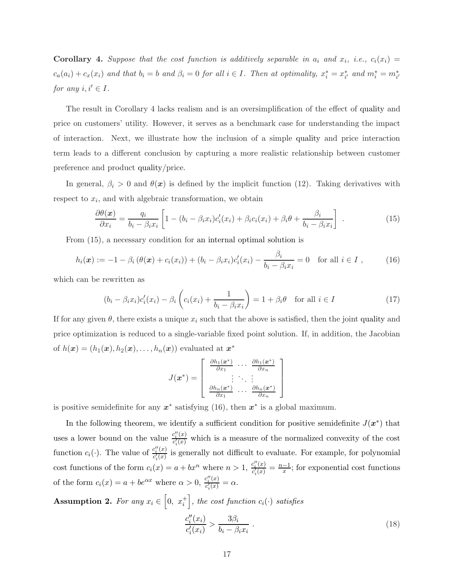**Corollary 4.** Suppose that the cost function is additively separable in  $a_i$  and  $x_i$ , i.e.,  $c_i(x_i)$  =  $c_a(a_i) + c_x(x_i)$  and that  $b_i = b$  and  $\beta_i = 0$  for all  $i \in I$ . Then at optimality,  $x_i^* = x_{i'}^*$  and  $m_i^* = m_{i'}^*$ for any  $i, i' \in I$ .

The result in Corollary 4 lacks realism and is an oversimplification of the effect of quality and price on customers' utility. However, it serves as a benchmark case for understanding the impact of interaction. Next, we illustrate how the inclusion of a simple quality and price interaction term leads to a different conclusion by capturing a more realistic relationship between customer preference and product quality/price.

In general,  $\beta_i > 0$  and  $\theta(x)$  is defined by the implicit function (12). Taking derivatives with respect to  $x_i$ , and with algebraic transformation, we obtain

$$
\frac{\partial \theta(\boldsymbol{x})}{\partial x_i} = \frac{q_i}{b_i - \beta_i x_i} \left[ 1 - (b_i - \beta_i x_i) c_i'(x_i) + \beta_i c_i(x_i) + \beta_i \theta + \frac{\beta_i}{b_i - \beta_i x_i} \right] \tag{15}
$$

From (15), a necessary condition for an internal optimal solution is

$$
h_i(\boldsymbol{x}) := -1 - \beta_i \left( \theta(\boldsymbol{x}) + c_i(x_i) \right) + (b_i - \beta_i x_i) c'_i(x_i) - \frac{\beta_i}{b_i - \beta_i x_i} = 0 \text{ for all } i \in I , \qquad (16)
$$

which can be rewritten as

$$
(b_i - \beta_i x_i)c'_i(x_i) - \beta_i \left(c_i(x_i) + \frac{1}{b_i - \beta_i x_i}\right) = 1 + \beta_i \theta \quad \text{for all } i \in I
$$
 (17)

If for any given  $\theta$ , there exists a unique  $x_i$  such that the above is satisfied, then the joint quality and price optimization is reduced to a single-variable fixed point solution. If, in addition, the Jacobian of  $h(\boldsymbol{x}) = (h_1(\boldsymbol{x}), h_2(\boldsymbol{x}), \dots, h_n(\boldsymbol{x}))$  evaluated at  $\boldsymbol{x}^*$ 

$$
J(\boldsymbol{x}^*) = \left[\begin{array}{ccc} \frac{\partial h_1(\boldsymbol{x}^*)}{\partial x_1} & \cdots & \frac{\partial h_1(\boldsymbol{x}^*)}{\partial x_n} \\ \vdots & \ddots & \vdots \\ \frac{\partial h_n(\boldsymbol{x}^*)}{\partial x_1} & \cdots & \frac{\partial h_n(\boldsymbol{x}^*)}{\partial x_n} \end{array}\right]
$$

is positive semidefinite for any  $x^*$  satisfying (16), then  $x^*$  is a global maximum.

In the following theorem, we identify a sufficient condition for positive semidefinite  $J(\boldsymbol{x}^*)$  that uses a lower bound on the value  $\frac{c''_i(x)}{c'(x)}$  $c_i^{\{x\}}(x)$  which is a measure of the normalized convexity of the cost function  $c_i(\cdot)$ . The value of  $\frac{c''_i(x)}{c'(x)}$  $\frac{c_i(\mathcal{X})}{c_i(\mathcal{X})}$  is generally not difficult to evaluate. For example, for polynomial cost functions of the form  $c_i(x) = a + bx^n$  where  $n > 1$ ,  $\frac{c''_i(x)}{c'(x)}$  $\frac{c_i''(x)}{c_i'(x)} = \frac{n-1}{x}$  $\frac{-1}{x}$ ; for exponential cost functions of the form  $c_i(x) = a + be^{\alpha x}$  where  $\alpha > 0$ ,  $\frac{c''_i(x)}{c'(x)}$  $\frac{c_i(x)}{c_i'(x)} = \alpha.$ 

**Assumption 2.** For any  $x_i \in [0, x_i^+]$ , the cost function  $c_i(\cdot)$  satisfies  $c''_i(x_i)$  $\frac{c_i''(x_i)}{c_i'(x_i)} > \frac{3\beta_i}{b_i - \beta_i}$  $b_i - \beta_i x_i$ .  $(18)$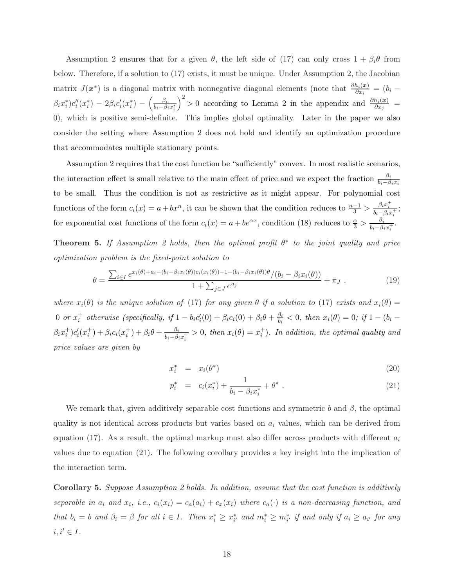Assumption 2 ensures that for a given  $\theta$ , the left side of (17) can only cross  $1 + \beta_i \theta$  from below. Therefore, if a solution to (17) exists, it must be unique. Under Assumption 2, the Jacobian matrix  $J(x^*)$  is a diagonal matrix with nonnegative diagonal elements (note that  $\frac{\partial h_i(x)}{\partial x_i} = (b_i \beta_ix_i^*)c_i''(x_i^*)-2\beta_i c_i'(x_i^*)-\Big(\frac{\beta_i}{b_i-\beta_i^*}$  $\overline{b_i - \beta_i x_i^*}$  $\int^2$  > 0 according to Lemma 2 in the appendix and  $\frac{\partial h_i(x)}{\partial x_j}$  = 0), which is positive semi-definite. This implies global optimality. Later in the paper we also consider the setting where Assumption 2 does not hold and identify an optimization procedure that accommodates multiple stationary points.

Assumption 2 requires that the cost function be "sufficiently" convex. In most realistic scenarios, the interaction effect is small relative to the main effect of price and we expect the fraction  $\frac{\beta_i}{b_i-\beta_i x_i}$ to be small. Thus the condition is not as restrictive as it might appear. For polynomial cost functions of the form  $c_i(x) = a + bx^n$ , it can be shown that the condition reduces to  $\frac{n-1}{3} > \frac{\beta_i x_i^+}{b_i - \beta_i x_i^+}$ ; for exponential cost functions of the form  $c_i(x) = a + be^{\alpha x}$ , condition (18) reduces to  $\frac{\alpha}{3} > \frac{\beta_i}{b_i - \beta_i}$  $\frac{\rho_i}{b_i-\beta_ix_i^+}$ .

**Theorem 5.** If Assumption 2 holds, then the optimal profit  $\theta^*$  to the joint quality and price optimization problem is the fixed-point solution to

$$
\theta = \frac{\sum_{i \in I} e^{x_i(\theta) + a_i - (b_i - \beta_i x_i(\theta))c_i(x_i(\theta)) - 1 - (b_i - \beta_i x_i(\theta))\theta} / (b_i - \beta_i x_i(\theta))}{1 + \sum_{j \in J} e^{\bar{u}_j}} + \bar{\pi}_J . \tag{19}
$$

where  $x_i(\theta)$  is the unique solution of (17) for any given  $\theta$  if a solution to (17) exists and  $x_i(\theta)$  = 0 or  $x_i^+$  otherwise (specifically, if  $1 - b_i c_i'(0) + \beta_i c_i(0) + \beta_i \theta + \frac{\beta_i}{b_i}$  $\frac{\beta_i}{b_i} < 0$ , then  $x_i(\theta) = 0$ ; if  $1 - (b_i \beta_i x_i^{\pm} \big) c_i'(x_i^{\pm}) + \beta_i c_i(x_i^{\pm}) + \beta_i \theta + \frac{\beta_i}{b_i - \beta_i}$  $\frac{\beta_i}{b_i-\beta_ix_i^+} > 0$ , then  $x_i(\theta) = x_i^+$ ). In addition, the optimal quality and price values are given by

$$
x_i^* = x_i(\theta^*) \tag{20}
$$

$$
p_i^* = c_i(x_i^*) + \frac{1}{b_i - \beta_i x_i^*} + \theta^* \ . \tag{21}
$$

We remark that, given additively separable cost functions and symmetric b and  $\beta$ , the optimal quality is not identical across products but varies based on  $a_i$  values, which can be derived from equation (17). As a result, the optimal markup must also differ across products with different  $a_i$ values due to equation (21). The following corollary provides a key insight into the implication of the interaction term.

Corollary 5. Suppose Assumption 2 holds. In addition, assume that the cost function is additively separable in  $a_i$  and  $x_i$ , i.e.,  $c_i(x_i) = c_a(a_i) + c_x(x_i)$  where  $c_a(\cdot)$  is a non-decreasing function, and that  $b_i = b$  and  $\beta_i = \beta$  for all  $i \in I$ . Then  $x_i^* \geq x_{i'}^*$  and  $m_i^* \geq m_{i'}^*$  if and only if  $a_i \geq a_{i'}$  for any  $i, i' \in I$ .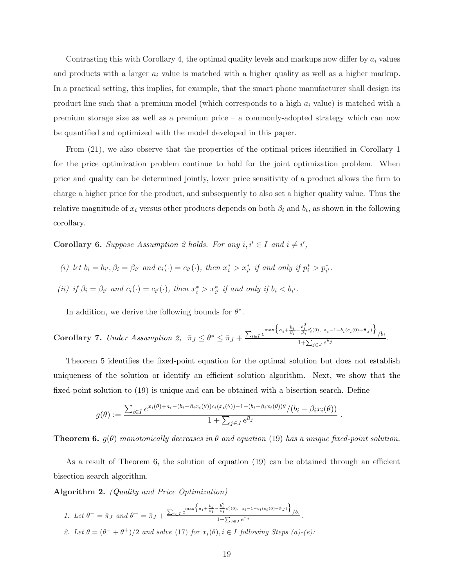Contrasting this with Corollary 4, the optimal quality levels and markups now differ by  $a_i$  values and products with a larger  $a_i$  value is matched with a higher quality as well as a higher markup. In a practical setting, this implies, for example, that the smart phone manufacturer shall design its product line such that a premium model (which corresponds to a high  $a_i$  value) is matched with a premium storage size as well as a premium price – a commonly-adopted strategy which can now be quantified and optimized with the model developed in this paper.

From (21), we also observe that the properties of the optimal prices identified in Corollary 1 for the price optimization problem continue to hold for the joint optimization problem. When price and quality can be determined jointly, lower price sensitivity of a product allows the firm to charge a higher price for the product, and subsequently to also set a higher quality value. Thus the relative magnitude of  $x_i$  versus other products depends on both  $\beta_i$  and  $b_i$ , as shown in the following corollary.

**Corollary 6.** Suppose Assumption 2 holds. For any  $i, i' \in I$  and  $i \neq i'$ ,

- (i) let  $b_i = b_{i'}, \beta_i = \beta_{i'}$  and  $c_i(\cdot) = c_{i'}(\cdot)$ , then  $x_i^* > x_{i'}^*$  if and only if  $p_i^* > p_{i'}^*$ .
- (ii) if  $\beta_i = \beta_{i'}$  and  $c_i(\cdot) = c_{i'}(\cdot)$ , then  $x_i^* > x_{i'}^*$  if and only if  $b_i < b_{i'}$ .

In addition, we derive the following bounds for  $\theta^*$ .

Corollary 7. Under Assumption 2, 
$$
\bar{\pi}_J \leq \theta^* \leq \bar{\pi}_J + \frac{\sum_{i \in I} e^{\max\left\{a_i + \frac{b_i}{\beta_i} - \frac{b_i^2}{\beta_i} c_i'(0), a_i - 1 - b_i(c_i(0) + \bar{\pi}_J)\right\}}}{1 + \sum_{j \in J} e^{\bar{u}_j}}
$$
.

Theorem 5 identifies the fixed-point equation for the optimal solution but does not establish uniqueness of the solution or identify an efficient solution algorithm. Next, we show that the fixed-point solution to (19) is unique and can be obtained with a bisection search. Define

$$
g(\theta) := \frac{\sum_{i \in I} e^{x_i(\theta) + a_i - (b_i - \beta_i x_i(\theta))c_i(x_i(\theta)) - 1 - (b_i - \beta_i x_i(\theta))\theta} / (b_i - \beta_i x_i(\theta))}{1 + \sum_{j \in J} e^{\bar{u}_j}}
$$

**Theorem 6.**  $q(\theta)$  monotonically decreases in  $\theta$  and equation (19) has a unique fixed-point solution.

.

As a result of Theorem 6, the solution of equation (19) can be obtained through an efficient bisection search algorithm.

Algorithm 2. (Quality and Price Optimization)

1. Let  $\theta^- = \bar{\pi}_J$  and  $\theta^+ = \bar{\pi}_J + \frac{\sum_{i \in I} e^{\max\left\{a_i + \frac{b_i}{\beta_i} - \frac{b_i^2}{\beta_i} c_i'(0), a_i - 1 - b_i(c_i(0) + \bar{\pi}_J)\right\}}{1 + \sum_{i \in I} e^{\bar{u}_i}}$  $\frac{1+\sum_{j\in J}e^{\bar{u}_j}}{1+\sum_{j\in J}e^{\bar{u}_j}}$ . 2. Let  $\theta = (\theta^- + \theta^+)/2$  and solve (17) for  $x_i(\theta), i \in I$  following Steps (a)-(e):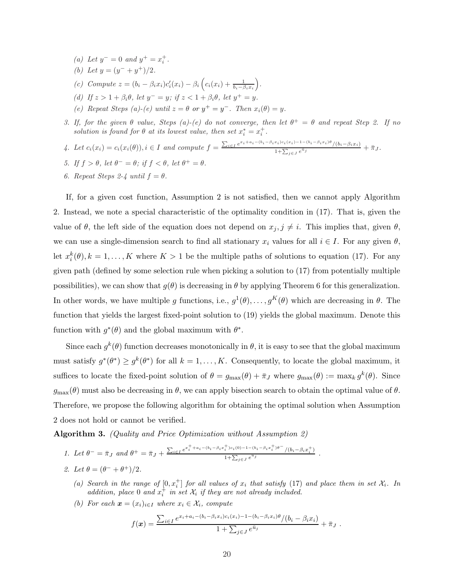- (a) Let  $y^- = 0$  and  $y^+ = x_i^+$ .
- (b) Let  $y = (y^- + y^+)/2$ .
- (c) Compute  $z = (b_i \beta_i x_i)c'_i(x_i) \beta_i\left(c_i(x_i) + \frac{1}{b_i \beta_i x_i}\right)$ .
- (d) If  $z > 1 + \beta_i \theta$ , let  $y^- = y$ ; if  $z < 1 + \beta_i \theta$ , let  $y^+ = y$ .
- (e) Repeat Steps (a)-(e) until  $z = \theta$  or  $y^+ = y^-$ . Then  $x_i(\theta) = y$ .
- 3. If, for the given  $\theta$  value, Steps (a)-(e) do not converge, then let  $\theta^+ = \theta$  and repeat Step 2. If no solution is found for  $\theta$  at its lowest value, then set  $x_i^* = x_i^+$ .
- 4. Let  $c_i(x_i) = c_i(x_i(\theta)), i \in I$  and compute  $f = \frac{\sum_{i \in I} e^{x_i + a_i (b_i \beta_i x_i)c_i(x_i) 1 (b_i \beta_i x_i)\theta} / (b_i \beta_i x_i)}{1 + \sum_{i \in I} e^{a_i}}$  $\frac{1+\sum_{j\in J}e^{\bar{u}_j}}{1+\sum_{j\in J}e^{\bar{u}_j}} + \bar{\pi}_J.$
- 5. If  $f > \theta$ , let  $\theta^- = \theta$ ; if  $f < \theta$ , let  $\theta^+ = \theta$ .
- 6. Repeat Steps 2-4 until  $f = \theta$ .

If, for a given cost function, Assumption 2 is not satisfied, then we cannot apply Algorithm 2. Instead, we note a special characteristic of the optimality condition in (17). That is, given the value of  $\theta$ , the left side of the equation does not depend on  $x_j, j \neq i$ . This implies that, given  $\theta$ , we can use a single-dimension search to find all stationary  $x_i$  values for all  $i \in I$ . For any given  $\theta$ , let  $x_i^k(\theta), k = 1, ..., K$  where  $K > 1$  be the multiple paths of solutions to equation (17). For any given path (defined by some selection rule when picking a solution to (17) from potentially multiple possibilities), we can show that  $g(\theta)$  is decreasing in  $\theta$  by applying Theorem 6 for this generalization. In other words, we have multiple g functions, i.e.,  $g^1(\theta), \ldots, g^K(\theta)$  which are decreasing in  $\theta$ . The function that yields the largest fixed-point solution to (19) yields the global maximum. Denote this function with  $g^*(\theta)$  and the global maximum with  $\theta^*$ .

Since each  $g^k(\theta)$  function decreases monotonically in  $\theta$ , it is easy to see that the global maximum must satisfy  $g^*(\theta^*) \geq g^k(\theta^*)$  for all  $k = 1, ..., K$ . Consequently, to locate the global maximum, it suffices to locate the fixed-point solution of  $\theta = g_{\text{max}}(\theta) + \bar{\pi}_J$  where  $g_{\text{max}}(\theta) := \max_k g^k(\theta)$ . Since  $g_{\text{max}}(\theta)$  must also be decreasing in  $\theta$ , we can apply bisection search to obtain the optimal value of  $\theta$ . Therefore, we propose the following algorithm for obtaining the optimal solution when Assumption 2 does not hold or cannot be verified.

Algorithm 3. (Quality and Price Optimization without Assumption 2)

1. Let 
$$
\theta^- = \bar{\pi}_J
$$
 and  $\theta^+ = \bar{\pi}_J + \frac{\sum_{i \in I} e^{x_i^+ + a_i - (b_i - \beta_i x_i^+) c_i(0) - 1 - (b_i - \beta_i x_i^+) \theta^-}}{1 + \sum_{j \in J} e^{\bar{u}_j}}$ .

- 2. Let  $\theta = (\theta^- + \theta^+)/2$ .
	- (a) Search in the range of  $[0, x_i^+]$  for all values of  $x_i$  that satisfy (17) and place them in set  $\mathcal{X}_i$ . In addition, place 0 and  $x_i^+$  in set  $\mathcal{X}_i$  if they are not already included.
	- (b) For each  $\mathbf{x} = (x_i)_{i \in I}$  where  $x_i \in \mathcal{X}_i$ , compute

$$
f(\boldsymbol{x}) = \frac{\sum_{i \in I} e^{x_i + a_i - (b_i - \beta_i x_i)c_i(x_i) - 1 - (b_i - \beta_i x_i)\theta} / (b_i - \beta_i x_i)}{1 + \sum_{j \in J} e^{\bar{u}_j}} + \bar{\pi}_J.
$$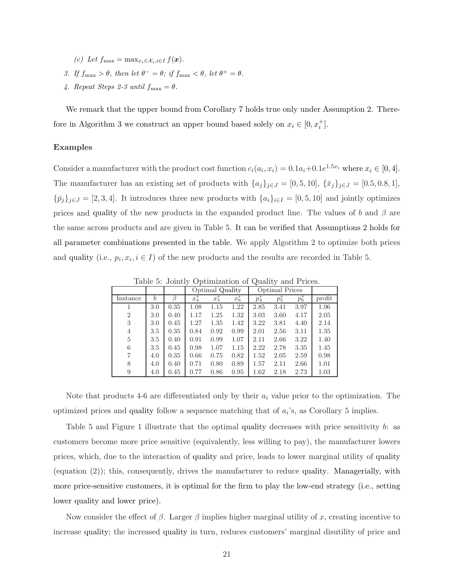- (c) Let  $f_{\text{max}} = \max_{x_i \in \mathcal{X}_i, i \in I} f(\boldsymbol{x}).$
- 3. If  $f_{\text{max}} > \theta$ , then let  $\theta^- = \theta$ ; if  $f_{\text{max}} < \theta$ , let  $\theta^+ = \theta$ .
- 4. Repeat Steps 2-3 until  $f_{\text{max}} = \theta$ .

We remark that the upper bound from Corollary 7 holds true only under Assumption 2. Therefore in Algorithm 3 we construct an upper bound based solely on  $x_i \in [0, x_i^+]$ .

#### Examples

Consider a manufacturer with the product cost function  $c_i(a_i, x_i) = 0.1a_i + 0.1e^{1.5x_i}$  where  $x_i \in [0, 4]$ . The manufacturer has an existing set of products with  $\{a_j\}_{j\in J} = [0, 5, 10]$ ,  $\{\bar{x}_j\}_{j\in J} = [0.5, 0.8, 1]$ ,  ${\bar{p}_j}_{j\in J} = [2, 3, 4]$ . It introduces three new products with  ${a_i}_{i\in I} = [0, 5, 10]$  and jointly optimizes prices and quality of the new products in the expanded product line. The values of b and  $\beta$  are the same across products and are given in Table 5. It can be verified that Assumptions 2 holds for all parameter combinations presented in the table. We apply Algorithm 2 to optimize both prices and quality (i.e.,  $p_i, x_i, i \in I$ ) of the new products and the results are recorded in Table 5.

Table 5: Jointly Optimization of Quality and Prices.

|                |     |      |         | Optimal Quality |         |       | Optimal Prices |                  |        |
|----------------|-----|------|---------|-----------------|---------|-------|----------------|------------------|--------|
| Instance       | b   |      | $x_4^*$ | $x_5$           | $x_6^*$ | $p_4$ | $p_5$          | $\overline{p}_6$ | profit |
|                | 3.0 | 0.35 | 1.08    | 1.15            | 1.22    | 2.85  | 3.41           | 3.97             | 1.96   |
| $\overline{2}$ | 3.0 | 0.40 | 1.17    | 1.25            | 1.32    | 3.03  | 3.60           | 4.17             | 2.05   |
| 3              | 3.0 | 0.45 | 1.27    | 1.35            | 1.42    | 3.22  | 3.81           | 4.40             | 2.14   |
| 4              | 3.5 | 0.35 | 0.84    | 0.92            | 0.99    | 2.01  | 2.56           | 3.11             | 1.35   |
| 5              | 3.5 | 0.40 | 0.91    | 0.99            | 1.07    | 2.11  | 2.66           | 3.22             | 1.40   |
| 6              | 3.5 | 0.45 | 0.98    | 1.07            | 1.15    | 2.22  | 2.78           | 3.35             | 1.45   |
|                | 4.0 | 0.35 | 0.66    | 0.75            | 0.82    | 1.52  | 2.05           | 2.59             | 0.98   |
| 8              | 4.0 | 0.40 | 0.71    | 0.80            | 0.89    | 1.57  | 2.11           | 2.66             | 1.01   |
| 9              | 4.0 | 0.45 | 0.77    | 0.86            | 0.95    | 1.62  | 2.18           | 2.73             | 1.03   |

Note that products 4-6 are differentiated only by their  $a_i$  value prior to the optimization. The optimized prices and quality follow a sequence matching that of  $a_i$ 's, as Corollary 5 implies.

Table 5 and Figure 1 illustrate that the optimal quality decreases with price sensitivity b: as customers become more price sensitive (equivalently, less willing to pay), the manufacturer lowers prices, which, due to the interaction of quality and price, leads to lower marginal utility of quality (equation (2)); this, consequently, drives the manufacturer to reduce quality. Managerially, with more price-sensitive customers, it is optimal for the firm to play the low-end strategy (i.e., setting lower quality and lower price).

Now consider the effect of  $\beta$ . Larger  $\beta$  implies higher marginal utility of x, creating incentive to increase quality; the increased quality in turn, reduces customers' marginal disutility of price and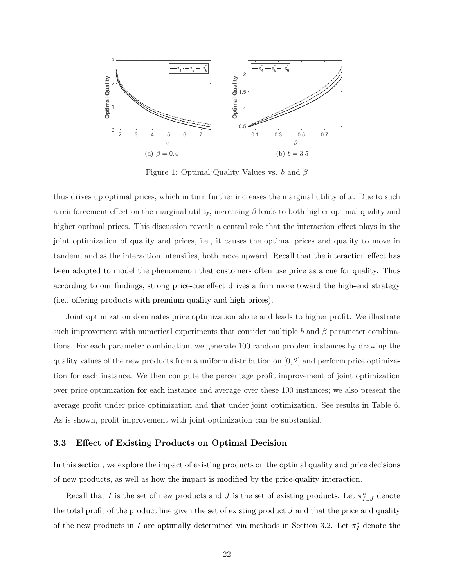

Figure 1: Optimal Quality Values vs. b and  $\beta$ 

thus drives up optimal prices, which in turn further increases the marginal utility of  $x$ . Due to such a reinforcement effect on the marginal utility, increasing  $\beta$  leads to both higher optimal quality and higher optimal prices. This discussion reveals a central role that the interaction effect plays in the joint optimization of quality and prices, i.e., it causes the optimal prices and quality to move in tandem, and as the interaction intensifies, both move upward. Recall that the interaction effect has been adopted to model the phenomenon that customers often use price as a cue for quality. Thus according to our findings, strong price-cue effect drives a firm more toward the high-end strategy (i.e., offering products with premium quality and high prices).

Joint optimization dominates price optimization alone and leads to higher profit. We illustrate such improvement with numerical experiments that consider multiple b and  $\beta$  parameter combinations. For each parameter combination, we generate 100 random problem instances by drawing the quality values of the new products from a uniform distribution on [0, 2] and perform price optimization for each instance. We then compute the percentage profit improvement of joint optimization over price optimization for each instance and average over these 100 instances; we also present the average profit under price optimization and that under joint optimization. See results in Table 6. As is shown, profit improvement with joint optimization can be substantial.

#### 3.3 Effect of Existing Products on Optimal Decision

In this section, we explore the impact of existing products on the optimal quality and price decisions of new products, as well as how the impact is modified by the price-quality interaction.

Recall that I is the set of new products and J is the set of existing products. Let  $\pi_{I\cup J}^*$  denote the total profit of the product line given the set of existing product  $J$  and that the price and quality of the new products in I are optimally determined via methods in Section 3.2. Let  $\pi_I^*$  denote the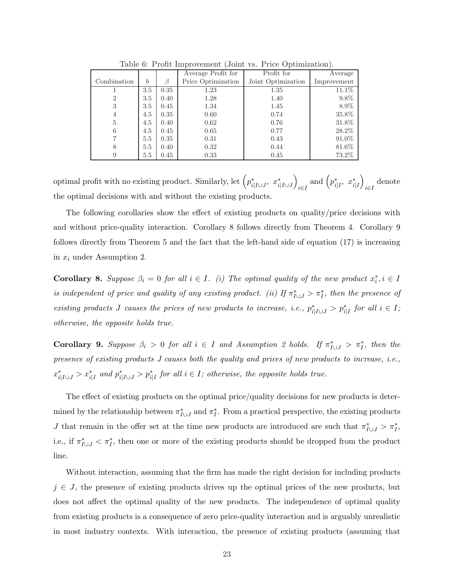|                |                  |      | Average Profit for | Profit for         | Average     |
|----------------|------------------|------|--------------------|--------------------|-------------|
| Combination    | $\boldsymbol{b}$ |      | Price Optimization | Joint Optimization | Improvement |
|                | 3.5              | 0.35 | 1.23               | 1.35               | 11.1\%      |
| $\overline{2}$ | 3.5              | 0.40 | 1.28               | 1.40               | 9.8%        |
| 3              | 3.5              | 0.45 | 1.34               | 1.45               | 8.9%        |
| $\overline{4}$ | 4.5              | 0.35 | 0.60               | 0.74               | 35.8%       |
| 5              | 4.5              | 0.40 | 0.62               | 0.76               | 31.8%       |
| 6              | 4.5              | 0.45 | 0.65               | 0.77               | 28.2%       |
|                | 5.5              | 0.35 | 0.31               | 0.43               | 91.0%       |
| 8              | 5.5              | 0.40 | 0.32               | 0.44               | 81.6%       |
| 9              | 5.5              | 0.45 | 0.33               | 0.45               | 73.2%       |
|                |                  |      |                    |                    |             |

Table 6: Profit Improvement (Joint vs. Price Optimization).

optimal profit with no existing product. Similarly, let  $\left(p^*_{i|I\cup J}, x^*_{i|I\cup J}\right)$  $\sum_{i\in I}$  and  $\left(p^*_{i|I}, x^*_{i|I}\right)$  $\det_{i \in I}$ the optimal decisions with and without the existing products.

The following corollaries show the effect of existing products on quality/price decisions with and without price-quality interaction. Corollary 8 follows directly from Theorem 4. Corollary 9 follows directly from Theorem 5 and the fact that the left-hand side of equation (17) is increasing in  $x_i$  under Assumption 2.

**Corollary 8.** Suppose  $\beta_i = 0$  for all  $i \in I$ . (i) The optimal quality of the new product  $x_i^*, i \in I$ is independent of price and quality of any existing product. (ii) If  $\pi_{I\cup J}^* > \pi_I^*$ , then the presence of existing products J causes the prices of new products to increase, i.e.,  $p_{i|I\cup J}^* > p_{i|I}^*$  for all  $i \in I$ ; otherwise, the opposite holds true.

**Corollary 9.** Suppose  $\beta_i > 0$  for all  $i \in I$  and Assumption 2 holds. If  $\pi_{I \cup J}^* > \pi_I^*$ , then the presence of existing products J causes both the quality and prices of new products to increase, i.e.,  $x_{i|I\cup J}^* > x_{i|I}^*$  and  $p_{i|I\cup J}^* > p_{i|I}^*$  for all  $i \in I$ ; otherwise, the opposite holds true.

The effect of existing products on the optimal price/quality decisions for new products is determined by the relationship between  $\pi_{I\cup J}^*$  and  $\pi_I^*$ . From a practical perspective, the existing products J that remain in the offer set at the time new products are introduced are such that  $\pi_{I\cup J}^* > \pi_I^*$ , i.e., if  $\pi_{I\cup J}^* < \pi_I^*$ , then one or more of the existing products should be dropped from the product line.

Without interaction, assuming that the firm has made the right decision for including products  $j \in J$ , the presence of existing products drives up the optimal prices of the new products, but does not affect the optimal quality of the new products. The independence of optimal quality from existing products is a consequence of zero price-quality interaction and is arguably unrealistic in most industry contexts. With interaction, the presence of existing products (assuming that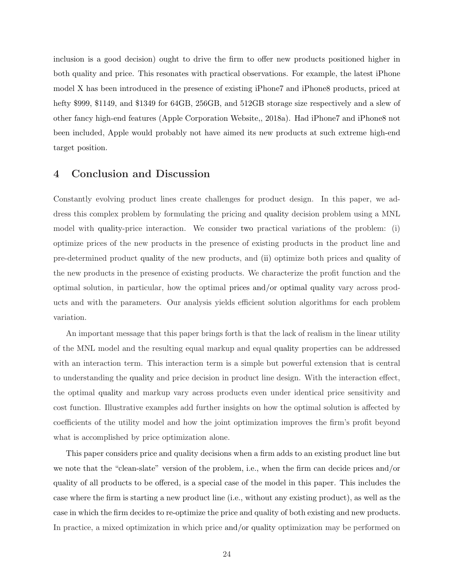inclusion is a good decision) ought to drive the firm to offer new products positioned higher in both quality and price. This resonates with practical observations. For example, the latest iPhone model X has been introduced in the presence of existing iPhone7 and iPhone8 products, priced at hefty \$999, \$1149, and \$1349 for 64GB, 256GB, and 512GB storage size respectively and a slew of other fancy high-end features (Apple Corporation Website,, 2018a). Had iPhone7 and iPhone8 not been included, Apple would probably not have aimed its new products at such extreme high-end target position.

## 4 Conclusion and Discussion

Constantly evolving product lines create challenges for product design. In this paper, we address this complex problem by formulating the pricing and quality decision problem using a MNL model with quality-price interaction. We consider two practical variations of the problem: (i) optimize prices of the new products in the presence of existing products in the product line and pre-determined product quality of the new products, and (ii) optimize both prices and quality of the new products in the presence of existing products. We characterize the profit function and the optimal solution, in particular, how the optimal prices and/or optimal quality vary across products and with the parameters. Our analysis yields efficient solution algorithms for each problem variation.

An important message that this paper brings forth is that the lack of realism in the linear utility of the MNL model and the resulting equal markup and equal quality properties can be addressed with an interaction term. This interaction term is a simple but powerful extension that is central to understanding the quality and price decision in product line design. With the interaction effect, the optimal quality and markup vary across products even under identical price sensitivity and cost function. Illustrative examples add further insights on how the optimal solution is affected by coefficients of the utility model and how the joint optimization improves the firm's profit beyond what is accomplished by price optimization alone.

This paper considers price and quality decisions when a firm adds to an existing product line but we note that the "clean-slate" version of the problem, i.e., when the firm can decide prices and/or quality of all products to be offered, is a special case of the model in this paper. This includes the case where the firm is starting a new product line (i.e., without any existing product), as well as the case in which the firm decides to re-optimize the price and quality of both existing and new products. In practice, a mixed optimization in which price and/or quality optimization may be performed on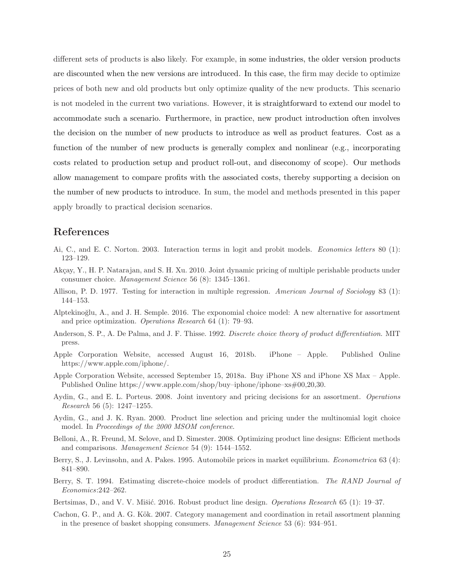different sets of products is also likely. For example, in some industries, the older version products are discounted when the new versions are introduced. In this case, the firm may decide to optimize prices of both new and old products but only optimize quality of the new products. This scenario is not modeled in the current two variations. However, it is straightforward to extend our model to accommodate such a scenario. Furthermore, in practice, new product introduction often involves the decision on the number of new products to introduce as well as product features. Cost as a function of the number of new products is generally complex and nonlinear (e.g., incorporating costs related to production setup and product roll-out, and diseconomy of scope). Our methods allow management to compare profits with the associated costs, thereby supporting a decision on the number of new products to introduce. In sum, the model and methods presented in this paper apply broadly to practical decision scenarios.

# References

- Ai, C., and E. C. Norton. 2003. Interaction terms in logit and probit models. Economics letters 80 (1): 123–129.
- Akçay, Y., H. P. Natarajan, and S. H. Xu. 2010. Joint dynamic pricing of multiple perishable products under consumer choice. Management Science 56 (8): 1345–1361.
- Allison, P. D. 1977. Testing for interaction in multiple regression. American Journal of Sociology 83 (1): 144–153.
- Alptekino˘glu, A., and J. H. Semple. 2016. The exponomial choice model: A new alternative for assortment and price optimization. Operations Research 64 (1): 79–93.
- Anderson, S. P., A. De Palma, and J. F. Thisse. 1992. Discrete choice theory of product differentiation. MIT press.
- Apple Corporation Website, accessed August 16, 2018b. iPhone Apple. Published Online https://www.apple.com/iphone/.
- Apple Corporation Website, accessed September 15, 2018a. Buy iPhone XS and iPhone XS Max Apple. Published Online https://www.apple.com/shop/buy–iphone/iphone–xs#00,20,30.
- Aydin, G., and E. L. Porteus. 2008. Joint inventory and pricing decisions for an assortment. Operations Research 56 (5): 1247–1255.
- Aydin, G., and J. K. Ryan. 2000. Product line selection and pricing under the multinomial logit choice model. In Proceedings of the 2000 MSOM conference.
- Belloni, A., R. Freund, M. Selove, and D. Simester. 2008. Optimizing product line designs: Efficient methods and comparisons. Management Science 54 (9): 1544–1552.
- Berry, S., J. Levinsohn, and A. Pakes. 1995. Automobile prices in market equilibrium. Econometrica 63 (4): 841–890.
- Berry, S. T. 1994. Estimating discrete-choice models of product differentiation. The RAND Journal of Economics:242–262.
- Bertsimas, D., and V. V. Mišić. 2016. Robust product line design. *Operations Research* 65 (1): 19–37.
- Cachon, G. P., and A. G. Kök. 2007. Category management and coordination in retail assortment planning in the presence of basket shopping consumers. Management Science 53 (6): 934–951.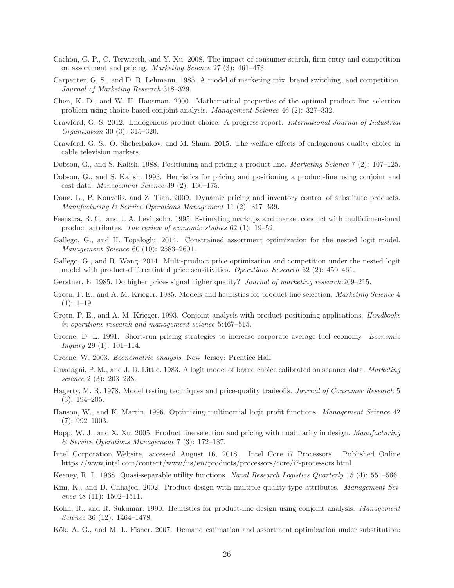- Cachon, G. P., C. Terwiesch, and Y. Xu. 2008. The impact of consumer search, firm entry and competition on assortment and pricing. Marketing Science 27 (3): 461–473.
- Carpenter, G. S., and D. R. Lehmann. 1985. A model of marketing mix, brand switching, and competition. Journal of Marketing Research:318–329.
- Chen, K. D., and W. H. Hausman. 2000. Mathematical properties of the optimal product line selection problem using choice-based conjoint analysis. Management Science 46 (2): 327–332.
- Crawford, G. S. 2012. Endogenous product choice: A progress report. International Journal of Industrial Organization 30 (3): 315–320.
- Crawford, G. S., O. Shcherbakov, and M. Shum. 2015. The welfare effects of endogenous quality choice in cable television markets.
- Dobson, G., and S. Kalish. 1988. Positioning and pricing a product line. Marketing Science 7 (2): 107–125.
- Dobson, G., and S. Kalish. 1993. Heuristics for pricing and positioning a product-line using conjoint and cost data. Management Science 39 (2): 160–175.
- Dong, L., P. Kouvelis, and Z. Tian. 2009. Dynamic pricing and inventory control of substitute products. Manufacturing & Service Operations Management 11 (2): 317–339.
- Feenstra, R. C., and J. A. Levinsohn. 1995. Estimating markups and market conduct with multidimensional product attributes. The review of economic studies 62 (1): 19–52.
- Gallego, G., and H. Topaloglu. 2014. Constrained assortment optimization for the nested logit model. Management Science 60 (10): 2583–2601.
- Gallego, G., and R. Wang. 2014. Multi-product price optimization and competition under the nested logit model with product-differentiated price sensitivities. Operations Research 62 (2): 450–461.
- Gerstner, E. 1985. Do higher prices signal higher quality? Journal of marketing research:209–215.
- Green, P. E., and A. M. Krieger. 1985. Models and heuristics for product line selection. Marketing Science 4  $(1): 1-19.$
- Green, P. E., and A. M. Krieger. 1993. Conjoint analysis with product-positioning applications. Handbooks in operations research and management science 5:467–515.
- Greene, D. L. 1991. Short-run pricing strategies to increase corporate average fuel economy. Economic *Inquiry* 29 (1):  $101-114$ .
- Greene, W. 2003. Econometric analysis. New Jersey: Prentice Hall.
- Guadagni, P. M., and J. D. Little. 1983. A logit model of brand choice calibrated on scanner data. Marketing science 2 (3): 203–238.
- Hagerty, M. R. 1978. Model testing techniques and price-quality tradeoffs. Journal of Consumer Research 5 (3): 194–205.
- Hanson, W., and K. Martin. 1996. Optimizing multinomial logit profit functions. Management Science 42 (7): 992–1003.
- Hopp, W. J., and X. Xu. 2005. Product line selection and pricing with modularity in design. Manufacturing & Service Operations Management 7 (3): 172–187.
- Intel Corporation Website, accessed August 16, 2018. Intel Core i7 Processors. Published Online https://www.intel.com/content/www/us/en/products/processors/core/i7-processors.html.
- Keeney, R. L. 1968. Quasi-separable utility functions. Naval Research Logistics Quarterly 15 (4): 551–566.
- Kim, K., and D. Chhajed. 2002. Product design with multiple quality-type attributes. Management Science 48 (11):  $1502-1511$ .
- Kohli, R., and R. Sukumar. 1990. Heuristics for product-line design using conjoint analysis. Management Science 36 (12): 1464–1478.
- Kök, A. G., and M. L. Fisher. 2007. Demand estimation and assortment optimization under substitution: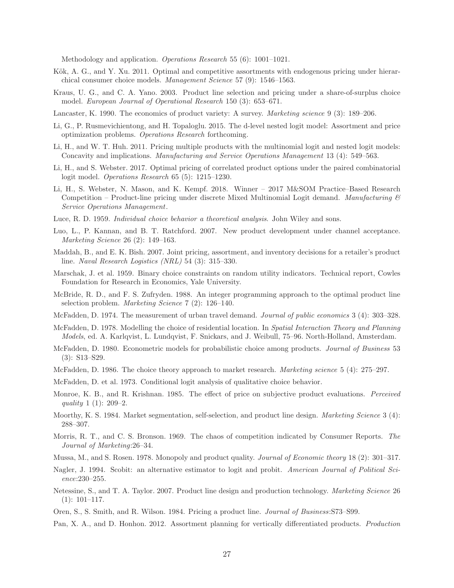Methodology and application. Operations Research 55 (6): 1001–1021.

- Kök, A. G., and Y. Xu. 2011. Optimal and competitive assortments with endogenous pricing under hierarchical consumer choice models. Management Science 57 (9): 1546–1563.
- Kraus, U. G., and C. A. Yano. 2003. Product line selection and pricing under a share-of-surplus choice model. European Journal of Operational Research 150 (3): 653–671.
- Lancaster, K. 1990. The economics of product variety: A survey. *Marketing science* 9 (3): 189–206.
- Li, G., P. Rusmevichientong, and H. Topaloglu. 2015. The d-level nested logit model: Assortment and price optimization problems. Operations Research forthcoming.
- Li, H., and W. T. Huh. 2011. Pricing multiple products with the multinomial logit and nested logit models: Concavity and implications. Manufacturing and Service Operations Management 13 (4): 549–563.
- Li, H., and S. Webster. 2017. Optimal pricing of correlated product options under the paired combinatorial logit model. Operations Research 65 (5): 1215–1230.
- Li, H., S. Webster, N. Mason, and K. Kempf. 2018. Winner 2017 M&SOM Practice–Based Research Competition – Product-line pricing under discrete Mixed Multinomial Logit demand. Manufacturing  $\mathcal{C}$ Service Operations Management.
- Luce, R. D. 1959. Individual choice behavior a theoretical analysis. John Wiley and sons.
- Luo, L., P. Kannan, and B. T. Ratchford. 2007. New product development under channel acceptance. Marketing Science 26 (2): 149–163.
- Maddah, B., and E. K. Bish. 2007. Joint pricing, assortment, and inventory decisions for a retailer's product line. Naval Research Logistics (NRL) 54 (3): 315–330.
- Marschak, J. et al. 1959. Binary choice constraints on random utility indicators. Technical report, Cowles Foundation for Research in Economics, Yale University.
- McBride, R. D., and F. S. Zufryden. 1988. An integer programming approach to the optimal product line selection problem. Marketing Science 7 (2): 126–140.
- McFadden, D. 1974. The measurement of urban travel demand. Journal of public economics 3 (4): 303–328.
- McFadden, D. 1978. Modelling the choice of residential location. In Spatial Interaction Theory and Planning Models, ed. A. Karlqvist, L. Lundqvist, F. Snickars, and J. Weibull, 75–96. North-Holland, Amsterdam.
- McFadden, D. 1980. Econometric models for probabilistic choice among products. *Journal of Business* 53 (3): S13–S29.
- McFadden, D. 1986. The choice theory approach to market research. Marketing science 5 (4): 275–297.
- McFadden, D. et al. 1973. Conditional logit analysis of qualitative choice behavior.
- Monroe, K. B., and R. Krishnan. 1985. The effect of price on subjective product evaluations. *Perceived* quality 1 (1): 209–2.
- Moorthy, K. S. 1984. Market segmentation, self-selection, and product line design. Marketing Science 3 (4): 288–307.
- Morris, R. T., and C. S. Bronson. 1969. The chaos of competition indicated by Consumer Reports. The Journal of Marketing:26–34.
- Mussa, M., and S. Rosen. 1978. Monopoly and product quality. Journal of Economic theory 18 (2): 301–317.
- Nagler, J. 1994. Scobit: an alternative estimator to logit and probit. American Journal of Political Science:230–255.
- Netessine, S., and T. A. Taylor. 2007. Product line design and production technology. Marketing Science 26  $(1): 101-117.$
- Oren, S., S. Smith, and R. Wilson. 1984. Pricing a product line. Journal of Business:S73–S99.
- Pan, X. A., and D. Honhon. 2012. Assortment planning for vertically differentiated products. Production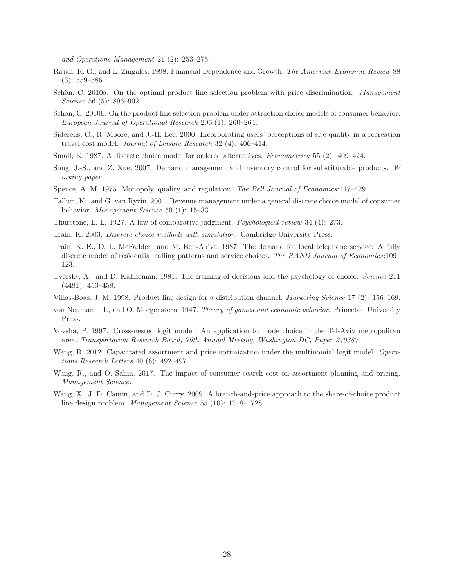and Operations Management 21 (2): 253–275.

- Rajan, R. G., and L. Zingales. 1998. Financial Dependence and Growth. The American Economic Review 88 (3): 559–586.
- Schön, C. 2010a. On the optimal product line selection problem with price discrimination. Management Science 56 (5): 896–902.
- Schön, C. 2010b. On the product line selection problem under attraction choice models of consumer behavior. European Journal of Operational Research 206 (1): 260–264.
- Siderelis, C., R. Moore, and J.-H. Lee. 2000. Incorporating users' perceptions of site quality in a recreation travel cost model. Journal of Leisure Research 32 (4): 406–414.
- Small, K. 1987. A discrete choice model for ordered alternatives. *Econometrica* 55 (2): 409–424.
- Song, J.-S., and Z. Xue. 2007. Demand management and inventory control for substitutable products. W orking paper .
- Spence, A. M. 1975. Monopoly, quality, and regulation. The Bell Journal of Economics: 417–429.
- Talluri, K., and G. van Ryzin. 2004. Revenue management under a general discrete choice model of consumer behavior. Management Science 50 (1): 15–33.
- Thurstone, L. L. 1927. A law of comparative judgment. Psychological review 34 (4): 273.
- Train, K. 2003. Discrete choice methods with simulation. Cambridge University Press.
- Train, K. E., D. L. McFadden, and M. Ben-Akiva. 1987. The demand for local telephone service: A fully discrete model of residential calling patterns and service choices. The RAND Journal of Economics:109– 123.
- Tversky, A., and D. Kahneman. 1981. The framing of decisions and the psychology of choice. Science 211 (4481): 453–458.
- Villas-Boas, J. M. 1998. Product line design for a distribution channel. Marketing Science 17 (2): 156–169.
- von Neumann, J., and O. Morgenstern. 1947. Theory of games and economic behavior. Princeton University Press.
- Vovsha, P. 1997. Cross-nested logit model: An application to mode choice in the Tel-Aviv metropolitan area. Transportation Research Board, 76th Annual Meeting, Washington DC, Paper 970387.
- Wang, R. 2012. Capacitated assortment and price optimization under the multinomial logit model. Operations Research Letters 40 (6): 492–497.
- Wang, R., and O. Sahin. 2017. The impact of consumer search cost on assortment planning and pricing. Management Science.
- Wang, X., J. D. Camm, and D. J. Curry. 2009. A branch-and-price approach to the share-of-choice product line design problem. Management Science 55 (10): 1718–1728.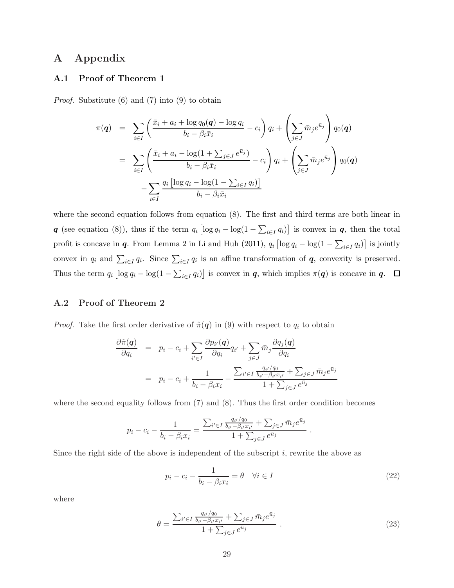# A Appendix

## A.1 Proof of Theorem 1

Proof. Substitute (6) and (7) into (9) to obtain

$$
\pi(\boldsymbol{q}) = \sum_{i \in I} \left( \frac{\bar{x}_i + a_i + \log q_0(\boldsymbol{q}) - \log q_i}{b_i - \beta_i \bar{x}_i} - c_i \right) q_i + \left( \sum_{j \in J} \bar{m}_j e^{\bar{u}_j} \right) q_0(\boldsymbol{q})
$$

$$
= \sum_{i \in I} \left( \frac{\bar{x}_i + a_i - \log(1 + \sum_{j \in J} e^{\bar{u}_j})}{b_i - \beta_i \bar{x}_i} - c_i \right) q_i + \left( \sum_{j \in J} \bar{m}_j e^{\bar{u}_j} \right) q_0(\boldsymbol{q})
$$

$$
- \sum_{i \in I} \frac{q_i \left[ \log q_i - \log(1 - \sum_{i \in I} q_i) \right]}{b_i - \beta_i \bar{x}_i}
$$

where the second equation follows from equation (8). The first and third terms are both linear in q (see equation (8)), thus if the term  $q_i \left[ \log q_i - \log(1 - \sum_{i \in I} q_i) \right]$  is convex in q, then the total profit is concave in q. From Lemma 2 in Li and Huh (2011),  $q_i$   $\left[\log q_i - \log(1 - \sum_{i \in I} q_i)\right]$  is jointly convex in  $q_i$  and  $\sum_{i\in I} q_i$ . Since  $\sum_{i\in I} q_i$  is an affine transformation of  $q$ , convexity is preserved. Thus the term  $q_i \left[ \log q_i - \log(1 - \sum_{i \in I} q_i) \right]$  is convex in  $q$ , which implies  $\pi(q)$  is concave in  $q$ .

### A.2 Proof of Theorem 2

*Proof.* Take the first order derivative of  $\hat{\pi}(q)$  in (9) with respect to  $q_i$  to obtain

$$
\frac{\partial \hat{\pi}(\mathbf{q})}{\partial q_i} = p_i - c_i + \sum_{i' \in I} \frac{\partial p_{i'}(\mathbf{q})}{\partial q_i} q_{i'} + \sum_{j \in J} \bar{m}_j \frac{\partial q_j(\mathbf{q})}{\partial q_i}
$$
\n
$$
= p_i - c_i + \frac{1}{b_i - \beta_i x_i} - \frac{\sum_{i' \in I} \frac{q_{i'}/q_0}{b_{i'} - \beta_{i'} x_{i'}} + \sum_{j \in J} \bar{m}_j e^{\bar{u}_j}}{1 + \sum_{j \in J} e^{\bar{u}_j}}
$$

where the second equality follows from  $(7)$  and  $(8)$ . Thus the first order condition becomes

$$
p_i - c_i - \frac{1}{b_i - \beta_i x_i} = \frac{\sum_{i' \in I} \frac{q_{i'}/q_0}{b_{i'} - \beta_{i'} x_{i'}} + \sum_{j \in J} \bar{m}_j e^{\bar{u}_j}}{1 + \sum_{j \in J} e^{\bar{u}_j}}.
$$

Since the right side of the above is independent of the subscript  $i$ , rewrite the above as

$$
p_i - c_i - \frac{1}{b_i - \beta_i x_i} = \theta \quad \forall i \in I
$$
\n
$$
(22)
$$

where

$$
\theta = \frac{\sum_{i' \in I} \frac{q_{i'}/q_0}{b_{i'} - \beta_{i'} x_{i'}} + \sum_{j \in J} \bar{m}_j e^{\bar{u}_j}}{1 + \sum_{j \in J} e^{\bar{u}_j}} \,. \tag{23}
$$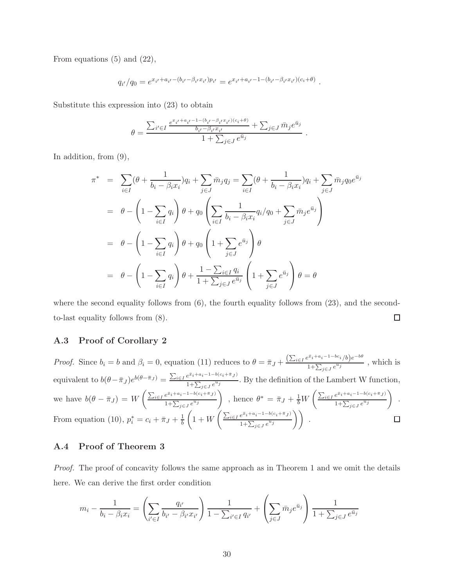From equations  $(5)$  and  $(22)$ ,

$$
q_{i'}/q_0 = e^{x_{i'} + a_{i'} - (b_{i'} - \beta_{i'} x_{i'}) p_{i'}} = e^{x_{i'} + a_{i'} - 1 - (b_{i'} - \beta_{i'} x_{i'})(c_i + \theta)}.
$$

Substitute this expression into (23) to obtain

$$
\theta = \frac{\sum_{i' \in I} \frac{e^{x_{i'}+a_{i'}-1-(b_{i'}-\beta_{i'}x_{i'})(c_i+\theta)}}{b_{i'}-\beta_{i'}x_{i'}} + \sum_{j \in J} \bar{m}_j e^{\bar{u}_j}}{1+\sum_{j \in J} e^{\bar{u}_j}}
$$

.

In addition, from (9),

$$
\pi^* = \sum_{i \in I} (\theta + \frac{1}{b_i - \beta_i x_i}) q_i + \sum_{j \in J} \bar{m}_j q_j = \sum_{i \in I} (\theta + \frac{1}{b_i - \beta_i x_i}) q_i + \sum_{j \in J} \bar{m}_j q_0 e^{\bar{u}_j}
$$
  
\n
$$
= \theta - \left(1 - \sum_{i \in I} q_i\right) \theta + q_0 \left(\sum_{i \in I} \frac{1}{b_i - \beta_i x_i} q_i / q_0 + \sum_{j \in J} \bar{m}_j e^{\bar{u}_j}\right)
$$
  
\n
$$
= \theta - \left(1 - \sum_{i \in I} q_i\right) \theta + q_0 \left(1 + \sum_{j \in J} e^{\bar{u}_j}\right) \theta
$$
  
\n
$$
= \theta - \left(1 - \sum_{i \in I} q_i\right) \theta + \frac{1 - \sum_{i \in I} q_i}{1 + \sum_{j \in J} e^{\bar{u}_j}} \left(1 + \sum_{j \in J} e^{\bar{u}_j}\right) \theta = \theta
$$

where the second equality follows from  $(6)$ , the fourth equality follows from  $(23)$ , and the secondto-last equality follows from (8).  $\Box$ 

#### A.3 Proof of Corollary 2

*Proof.* Since  $b_i = b$  and  $\beta_i = 0$ , equation (11) reduces to  $\theta = \bar{\pi}_J + \frac{(\sum_{i \in I} e^{\bar{x}_i + a_i - 1 - bc_i}/b)e^{-b\theta}}{1 + \sum_{i \in I} e^{\bar{x}_i}}$  $\frac{1+\sum_{j\in J}e^{\overline{u}_j}}{1+\sum_{j\in J}e^{\overline{u}_j}}$ , which is equivalent to  $b(\theta - \bar{\pi}_J) e^{b(\theta - \bar{\pi}_J)} = \frac{\sum_{i \in I} e^{\bar{x}_i + a_i - 1 - b(c_i + \bar{\pi}_J)}}{1 + \sum_{i \in I} e^{\bar{u}_i}}$  $\frac{e^{i\theta}+e^{-i\theta}}{1+\sum_{j\in J}e^{i\theta_j}}$ . By the definition of the Lambert W function, we have  $b(\theta - \bar{\pi}_J) = W\left(\frac{\sum_{i \in I} e^{\bar{x}_i + a_i - 1 - b(c_i + \bar{\pi}_J)}}{1 + \sum_{i \in I} a_{ij}}\right)$ ), hence  $\theta^* = \bar{\pi}_J + \frac{1}{b} W \left( \frac{\sum_{i \in I} e^{\bar{x}_i + a_i - 1 - b(c_i + \bar{\pi}_J)}}{1 + \sum_{i \in I} e^{u_j}} \right)$  $\Big)$ .  $1+\sum_{j\in J}e^{u_j}$  $1+\sum_{j\in J}e^{u_j}$  $\left(1+W\left(\frac{\sum_{i\in I}e^{\bar{x}_i+a_i-1-b(c_i+\bar{\pi}_J)}}{1+\sum_{i\in I}e^{\bar{u}_i}}\right)\right)$  $\frac{e^{\bar{x}_i + a_i - 1 - b(c_i + \bar{\pi}_J)}}{1 + \sum_{j \in J} e^{\bar{u}_j}} \Bigg) \Bigg)$ . From equation (10),  $p_i^* = c_i + \overline{\pi}_J + \frac{1}{b}$  $\Box$ b

### A.4 Proof of Theorem 3

Proof. The proof of concavity follows the same approach as in Theorem 1 and we omit the details here. We can derive the first order condition

$$
m_i - \frac{1}{b_i - \beta_i x_i} = \left(\sum_{i' \in I} \frac{q_{i'}}{b_{i'} - \beta_{i'} x_{i'}}\right) \frac{1}{1 - \sum_{i' \in I} q_{i'}} + \left(\sum_{j \in J} \bar{m}_j e^{\bar{u}_j}\right) \frac{1}{1 + \sum_{j \in J} e^{\bar{u}_j}}
$$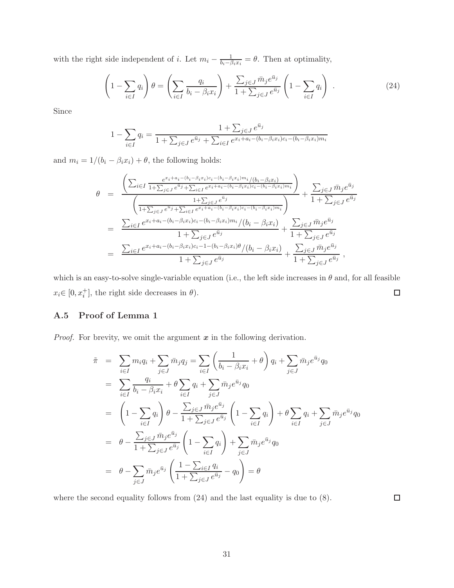with the right side independent of *i*. Let  $m_i - \frac{1}{b_i - \beta_i x_i} = \theta$ . Then at optimality,

$$
\left(1 - \sum_{i \in I} q_i\right)\theta = \left(\sum_{i \in I} \frac{q_i}{b_i - \beta_i x_i}\right) + \frac{\sum_{j \in J} \bar{m}_j e^{\bar{u}_j}}{1 + \sum_{j \in J} e^{\bar{u}_j}} \left(1 - \sum_{i \in I} q_i\right) . \tag{24}
$$

Since

$$
1 - \sum_{i \in I} q_i = \frac{1 + \sum_{j \in J} e^{\bar{u}_j}}{1 + \sum_{j \in J} e^{\bar{u}_j} + \sum_{i \in I} e^{x_i + a_i - (b_i - \beta_i x_i)c_i - (b_i - \beta_i x_i)m_i}}
$$

and  $m_i = 1/(b_i - \beta_i x_i) + \theta,$  the following holds:

$$
\theta = \frac{\left(\sum_{i\in I} \frac{e^{x_i + a_i - (b_i - \beta_i x_i)c_i - (b_i - \beta_i x_i)m_i}/(b_i - \beta_i x_i)}{1 + \sum_{j\in J} e^{\bar{u}_j} + \sum_{i\in I} e^{x_i + a_i - (b_i - \beta_i x_i)c_i - (b_i - \beta_i x_i)m_i}}\right)}{\left(\frac{1 + \sum_{j\in J} e^{\bar{u}_j} + \sum_{i\in I} e^{x_i + a_i - (b_i - \beta_i x_i)c_i - (b_i - \beta_i x_i)m_i}}{1 + \sum_{j\in J} e^{\bar{u}_j}}\right)} + \frac{\sum_{j\in J} \bar{m}_j e^{\bar{u}_j}}{1 + \sum_{j\in J} e^{\bar{u}_j}}}{1 + \sum_{j\in J} e^{\bar{u}_j}}
$$
\n
$$
= \frac{\sum_{i\in I} e^{x_i + a_i - (b_i - \beta_i x_i)c_i - (b_i - \beta_i x_i)m_i}/(b_i - \beta_i x_i)}{1 + \sum_{j\in J} e^{\bar{u}_j}} + \frac{\sum_{j\in J} \bar{m}_j e^{\bar{u}_j}}{1 + \sum_{j\in J} e^{\bar{u}_j}}
$$
\n
$$
= \frac{\sum_{i\in I} e^{x_i + a_i - (b_i - \beta_i x_i)c_i - 1 - (b_i - \beta_i x_i)\theta}/(b_i - \beta_i x_i)}{1 + \sum_{j\in J} e^{\bar{u}_j}} + \frac{\sum_{j\in J} \bar{m}_j e^{\bar{u}_j}}{1 + \sum_{j\in J} e^{\bar{u}_j}},
$$

which is an easy-to-solve single-variable equation (i.e., the left side increases in  $\theta$  and, for all feasible  $x_i \in [0, x_i^+]$ , the right side decreases in  $\theta$ ).  $\Box$ 

## A.5 Proof of Lemma 1

*Proof.* For brevity, we omit the argument  $x$  in the following derivation.

$$
\tilde{\pi} = \sum_{i \in I} m_i q_i + \sum_{j \in J} \bar{m}_j q_j = \sum_{i \in I} \left( \frac{1}{b_i - \beta_i x_i} + \theta \right) q_i + \sum_{j \in J} \bar{m}_j e^{\bar{u}_j} q_0
$$
\n
$$
= \sum_{i \in I} \frac{q_i}{b_i - \beta_i x_i} + \theta \sum_{i \in I} q_i + \sum_{j \in J} \bar{m}_j e^{\bar{u}_j} q_0
$$
\n
$$
= \left( 1 - \sum_{i \in I} q_i \right) \theta - \frac{\sum_{j \in J} \bar{m}_j e^{\bar{u}_j}}{1 + \sum_{j \in J} e^{\bar{u}_j}} \left( 1 - \sum_{i \in I} q_i \right) + \theta \sum_{i \in I} q_i + \sum_{j \in J} \bar{m}_j e^{\bar{u}_j} q_0
$$
\n
$$
= \theta - \frac{\sum_{j \in J} \bar{m}_j e^{\bar{u}_j}}{1 + \sum_{j \in J} e^{\bar{u}_j}} \left( 1 - \sum_{i \in I} q_i \right) + \sum_{j \in J} \bar{m}_j e^{\bar{u}_j} q_0
$$
\n
$$
= \theta - \sum_{j \in J} \bar{m}_j e^{\bar{u}_j} \left( \frac{1 - \sum_{i \in I} q_i}{1 + \sum_{j \in J} e^{\bar{u}_j}} - q_0 \right) = \theta
$$

where the second equality follows from  $(24)$  and the last equality is due to  $(8)$ .

 $\Box$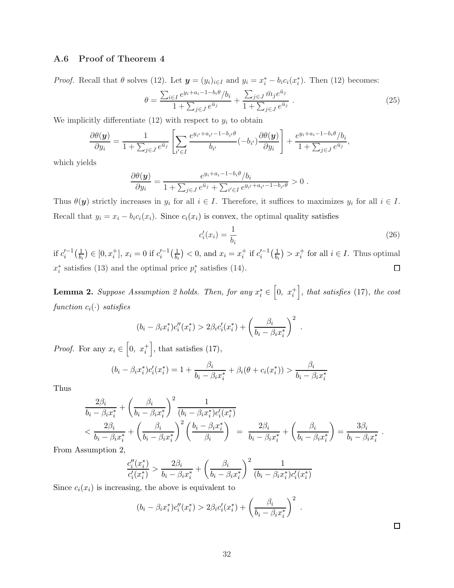### A.6 Proof of Theorem 4

*Proof.* Recall that  $\theta$  solves (12). Let  $\mathbf{y} = (y_i)_{i \in I}$  and  $y_i = x_i^* - b_i c_i(x_i^*)$ . Then (12) becomes:

$$
\theta = \frac{\sum_{i \in I} e^{y_i + a_i - 1 - b_i \theta} / b_i}{1 + \sum_{j \in J} e^{\bar{u}_j}} + \frac{\sum_{j \in J} \bar{m}_j e^{\bar{u}_j}}{1 + \sum_{j \in J} e^{\bar{u}_j}}.
$$
\n(25)

We implicitly differentiate  $(12)$  with respect to  $y_i$  to obtain

$$
\frac{\partial \theta(\mathbf{y})}{\partial y_i} = \frac{1}{1 + \sum_{j \in J} e^{\bar{u}_j}} \left[ \sum_{i' \in I} \frac{e^{y_{i'} + a_{i'} - 1 - b_{i'}\theta}}{b_{i'}} (-b_{i'}) \frac{\partial \theta(\mathbf{y})}{\partial y_i} \right] + \frac{e^{y_i + a_i - 1 - b_i\theta}/b_i}{1 + \sum_{j \in J} e^{\bar{u}_j}},
$$

which yields

$$
\frac{\partial \theta(\boldsymbol{y})}{\partial y_i} = \frac{e^{y_i + a_i - 1 - b_i \theta} / b_i}{1 + \sum_{j \in J} e^{\bar{u}_j} + \sum_{i' \in I} e^{y_{i'} + a_{i'} - 1 - b_{i'} \theta}} > 0.
$$

Thus  $\theta(\mathbf{y})$  strictly increases in  $y_i$  for all  $i \in I$ . Therefore, it suffices to maximizes  $y_i$  for all  $i \in I$ . Recall that  $y_i = x_i - b_i c_i(x_i)$ . Since  $c_i(x_i)$  is convex, the optimal quality satisfies

$$
c_i'(x_i) = \frac{1}{b_i} \tag{26}
$$

if  $c_i'^{-1}\big(\frac{1}{b_i}$  $\left(\frac{1}{b_i}\right) \in [0, x_i^+]$ ,  $x_i = 0$  if  $c_i'^{-1} \left(\frac{1}{b_i}\right)$  $\frac{1}{b_i}$  > 0, and  $x_i = x_i^+$  if  $c_i'^{-1}(\frac{1}{b_i})$  $\left(\frac{1}{b_i}\right) > x_i^+$  for all  $i \in I$ . Thus optimal  $x_i^*$  satisfies (13) and the optimal price  $p_i^*$  satisfies (14).  $\Box$ 

**Lemma 2.** Suppose Assumption 2 holds. Then, for any  $x_i^* \in (0, x_i^+]$ , that satisfies (17), the cost function  $c_i(\cdot)$  satisfies

$$
(b_i - \beta_i x_i^*) c_i''(x_i^*) > 2\beta_i c_i'(x_i^*) + \left(\frac{\beta_i}{b_i - \beta_i x_i^*}\right)^2.
$$

*Proof.* For any  $x_i \in \left[0, x_i^+\right]$ , that satisfies (17),

$$
(b_i - \beta_i x_i^*)c_i'(x_i^*) = 1 + \frac{\beta_i}{b_i - \beta_i x_i^*} + \beta_i(\theta + c_i(x_i^*)) > \frac{\beta_i}{b_i - \beta_i x_i^*}
$$

Thus

$$
\frac{2\beta_i}{b_i - \beta_i x_i^*} + \left(\frac{\beta_i}{b_i - \beta_i x_i^*}\right)^2 \frac{1}{(b_i - \beta_i x_i^*)c_i'(x_i^*)}
$$
\n
$$
< \frac{2\beta_i}{b_i - \beta_i x_i^*} + \left(\frac{\beta_i}{b_i - \beta_i x_i^*}\right)^2 \left(\frac{b_i - \beta_i x_i^*}{\beta_i}\right) = \frac{2\beta_i}{b_i - \beta_i x_i^*} + \left(\frac{\beta_i}{b_i - \beta_i x_i^*}\right) = \frac{3\beta_i}{b_i - \beta_i x_i^*}.
$$

From Assumption 2,

$$
\frac{c_i''(x_i^*)}{c_i'(x_i^*)} > \frac{2\beta_i}{b_i - \beta_i x_i^*} + \left(\frac{\beta_i}{b_i - \beta_i x_i^*}\right)^2 \frac{1}{(b_i - \beta_i x_i^*)c_i'(x_i^*)}
$$

Since  $c_i(x_i)$  is increasing, the above is equivalent to

$$
(b_i - \beta_i x_i^*) c_i''(x_i^*) > 2\beta_i c_i'(x_i^*) + \left(\frac{\beta_i}{b_i - \beta_i x_i^*}\right)^2.
$$

 $\Box$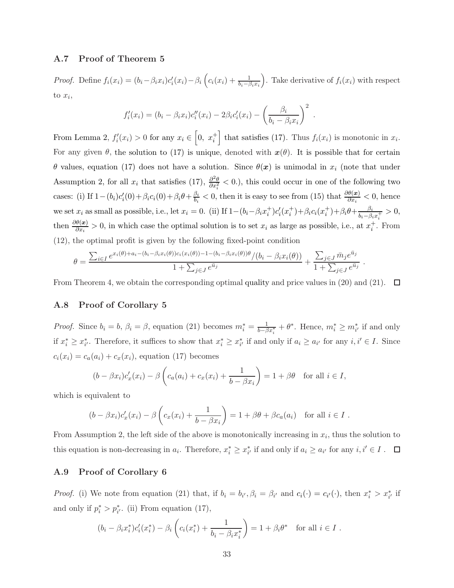### A.7 Proof of Theorem 5

*Proof.* Define  $f_i(x_i) = (b_i - \beta_i x_i)c'_i(x_i) - \beta_i (c_i(x_i) + \frac{1}{b_i - \beta_i x_i})$ . Take derivative of  $f_i(x_i)$  with respect to  $x_i$ ,

$$
f_i'(x_i) = (b_i - \beta_i x_i) c_i''(x_i) - 2\beta_i c_i'(x_i) - \left(\frac{\beta_i}{b_i - \beta_i x_i}\right)^2.
$$

From Lemma 2,  $f_i'(x_i) > 0$  for any  $x_i \in \left[0, x_i^+\right]$  that satisfies (17). Thus  $f_i(x_i)$  is monotonic in  $x_i$ . For any given  $\theta$ , the solution to (17) is unique, denoted with  $x(\theta)$ . It is possible that for certain  $θ$  values, equation (17) does not have a solution. Since  $θ(x)$  is unimodal in x<sub>i</sub> (note that under Assumption 2, for all  $x_i$  that satisfies (17),  $\frac{\partial^2 \theta}{\partial x^2}$  $\frac{\partial^2 \theta}{\partial x_i^2}$  < 0.), this could occur in one of the following two cases: (i) If  $1 - (b_i)c_i'(0) + \beta_i c_i(0) + \beta_i \theta + \frac{\beta_i}{b_i}$  $\frac{\beta_i}{b_i} < 0$ , then it is easy to see from (15) that  $\frac{\partial \theta(x)}{\partial x_i} < 0$ , hence we set  $x_i$  as small as possible, i.e., let  $x_i = 0$ . (ii) If  $1 - (b_i - \beta_i x_i^+) c'_i(x_i^+) + \beta_i c_i(x_i^+) + \beta_i \theta + \frac{\beta_i}{b_i - \beta_i}$  $\frac{\beta_i}{b_i-\beta_i x_i^+} > 0,$ then  $\frac{\partial \theta(x)}{\partial x_i} > 0$ , in which case the optimal solution is to set  $x_i$  as large as possible, i.e., at  $x_i^+$ . From (12), the optimal profit is given by the following fixed-point condition

$$
\theta = \frac{\sum_{i \in I} e^{x_i(\theta) + a_i - (b_i - \beta_i x_i(\theta))c_i(x_i(\theta)) - 1 - (b_i - \beta_i x_i(\theta))\theta} / (b_i - \beta_i x_i(\theta))}{1 + \sum_{j \in J} e^{\bar{u}_j}} + \frac{\sum_{j \in J} \bar{m}_j e^{\bar{u}_j}}{1 + \sum_{j \in J} e^{\bar{u}_j}}.
$$

From Theorem 4, we obtain the corresponding optimal quality and price values in (20) and (21).  $\Box$ 

#### A.8 Proof of Corollary 5

*Proof.* Since  $b_i = b$ ,  $\beta_i = \beta$ , equation (21) becomes  $m_i^* = \frac{1}{b - \beta x_i^*} + \theta^*$ . Hence,  $m_i^* \ge m_{i'}^*$  if and only if  $x_i^* \geq x_{i'}^*$ . Therefore, it suffices to show that  $x_i^* \geq x_{i'}^*$  if and only if  $a_i \geq a_{i'}$  for any  $i, i' \in I$ . Since  $c_i(x_i) = c_a(a_i) + c_x(x_i)$ , equation (17) becomes

$$
(b - \beta x_i)c'_x(x_i) - \beta \left(c_a(a_i) + c_x(x_i) + \frac{1}{b - \beta x_i}\right) = 1 + \beta \theta \quad \text{for all } i \in I,
$$

which is equivalent to

$$
(b - \beta x_i)c'_x(x_i) - \beta \left(c_x(x_i) + \frac{1}{b - \beta x_i}\right) = 1 + \beta \theta + \beta c_a(a_i) \text{ for all } i \in I.
$$

From Assumption 2, the left side of the above is monotonically increasing in  $x_i$ , thus the solution to this equation is non-decreasing in  $a_i$ . Therefore,  $x_i^* \geq x_{i'}^*$  if and only if  $a_i \geq a_{i'}$  for any  $i, i' \in I$ .

#### A.9 Proof of Corollary 6

*Proof.* (i) We note from equation (21) that, if  $b_i = b_{i'}, \beta_i = \beta_{i'}$  and  $c_i(\cdot) = c_{i'}(\cdot)$ , then  $x_i^* > x_{i'}^*$  if and only if  $p_i^* > p_{i'}^*$ . (ii) From equation (17),

$$
(b_i - \beta_i x_i^*)c_i'(x_i^*) - \beta_i \left( c_i(x_i^*) + \frac{1}{b_i - \beta_i x_i^*} \right) = 1 + \beta_i \theta^* \text{ for all } i \in I.
$$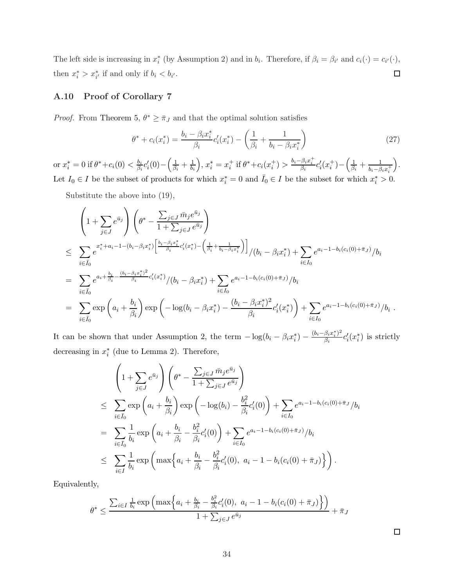The left side is increasing in  $x_i^*$  (by Assumption 2) and in  $b_i$ . Therefore, if  $\beta_i = \beta_{i'}$  and  $c_i(\cdot) = c_{i'}(\cdot)$ , then  $x_i^* > x_{i'}^*$  if and only if  $b_i < b_{i'}$ .  $\Box$ 

## A.10 Proof of Corollary 7

*Proof.* From Theorem 5,  $\theta^* \geq \bar{\pi}_J$  and that the optimal solution satisfies

$$
\theta^* + c_i(x_i^*) = \frac{b_i - \beta_i x_i^*}{\beta_i} c_i'(x_i^*) - \left(\frac{1}{\beta_i} + \frac{1}{b_i - \beta_i x_i^*}\right)
$$
(27)

or  $x_i^* = 0$  if  $\theta^* + c_i(0) < \frac{b_i}{\beta_i}$  $\frac{b_i}{\beta_i}c'_i(0)-\left(\frac{1}{\beta_i}\right)$  $\frac{1}{\beta_i} + \frac{1}{b_i}, x_i^* = x_i^+$  if  $\theta^* + c_i(x_i^+) > \frac{b_i - \beta_i x_i^+}{\beta_i} c_i'(x_i^+) - \left(\frac{1}{\beta_i}\right)$  $\frac{1}{\beta_i}+\frac{1}{b_i-\beta_ix_i^+}$  . Let  $I_0 \in I$  be the subset of products for which  $x_i^* = 0$  and  $\overline{I}_0 \in I$  be the subset for which  $x_i^* > 0$ .

Substitute the above into (19),

$$
\begin{split}\n&\left(1+\sum_{j\in J}e^{\bar{u}_j}\right)\left(\theta^* - \frac{\sum_{j\in J}\bar{m}_je^{\bar{u}_j}}{1+\sum_{j\in J}e^{\bar{u}_j}}\right) \\
&\leq \sum_{i\in \bar{I}_0}e^{x_i^*+a_i-1-(b_i-\beta_ix_i^*)\left[\frac{b_i-\beta_ix_i^*}{\beta_i}c_i'(x_i^*) - \left(\frac{1}{\beta_i}+\frac{1}{b_i-\beta_ix_i^*}\right)\right]}/(b_i-\beta_ix_i^*) + \sum_{i\in I_0}e^{a_i-1-b_i(c_i(0)+\bar{\pi}_J)}/b_i \\
&=\sum_{i\in \bar{I}_0}e^{a_i+\frac{b_i}{\beta_i}-\frac{(b_i-\beta_ix_i^*)^2}{\beta_i}c_i'(x_i^*)}/(b_i-\beta_ix_i^*) + \sum_{i\in I_0}e^{a_i-1-b_i(c_i(0)+\bar{\pi}_J)}/b_i \\
&=\sum_{i\in \bar{I}_0}\exp\left(a_i+\frac{b_i}{\beta_i}\right)\exp\left(-\log(b_i-\beta_ix_i^*) - \frac{(b_i-\beta_ix_i^*)^2}{\beta_i}c_i'(x_i^*)\right) + \sum_{i\in I_0}e^{a_i-1-b_i(c_i(0)+\bar{\pi}_J)}/b_i.\n\end{split}
$$

It can be shown that under Assumption 2, the term  $-\log(b_i - \beta_i x_i^*) - \frac{(b_i - \beta_i x_i^*)^2}{\beta_i}$  $\frac{\beta_i x_i^* \cdot \beta^2}{\beta_i} c_i'(x_i^*)$  is strictly decreasing in  $x_i^*$  (due to Lemma 2). Therefore,

$$
\left(1 + \sum_{j \in J} e^{\bar{u}_j}\right) \left(\theta^* - \frac{\sum_{j \in J} \bar{m}_j e^{\bar{u}_j}}{1 + \sum_{j \in J} e^{\bar{u}_j}}\right)
$$
\n
$$
\leq \sum_{i \in \bar{I}_0} \exp\left(a_i + \frac{b_i}{\beta_i}\right) \exp\left(-\log(b_i) - \frac{b_i^2}{\beta_i} c_i'(0)\right) + \sum_{i \in I_0} e^{a_i - 1 - b_i(c_i(0) + \bar{\pi}_J)} / b_i
$$
\n
$$
= \sum_{i \in \bar{I}_0} \frac{1}{b_i} \exp\left(a_i + \frac{b_i}{\beta_i} - \frac{b_i^2}{\beta_i} c_i'(0)\right) + \sum_{i \in I_0} e^{a_i - 1 - b_i(c_i(0) + \bar{\pi}_J)} / b_i
$$
\n
$$
\leq \sum_{i \in I} \frac{1}{b_i} \exp\left(\max\left\{a_i + \frac{b_i}{\beta_i} - \frac{b_i^2}{\beta_i} c_i'(0), a_i - 1 - b_i(c_i(0) + \bar{\pi}_J)\right\}\right).
$$

Equivalently,

$$
\theta^* \le \frac{\sum_{i \in I} \frac{1}{b_i} \exp \left( \max \left\{ a_i + \frac{b_i}{\beta_i} - \frac{b_i^2}{\beta_i} c_i'(0), \ a_i - 1 - b_i(c_i(0) + \bar{\pi}_J) \right\} \right)}{1 + \sum_{j \in J} e^{\bar{u}_j}} + \bar{\pi}_J
$$